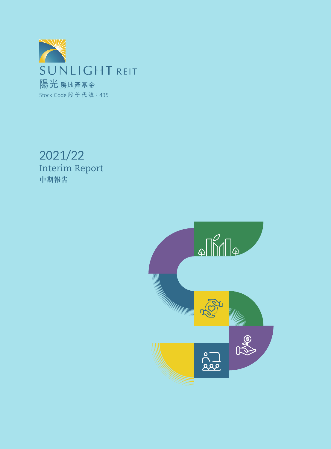

Interim Report **中期報告** 2021/22

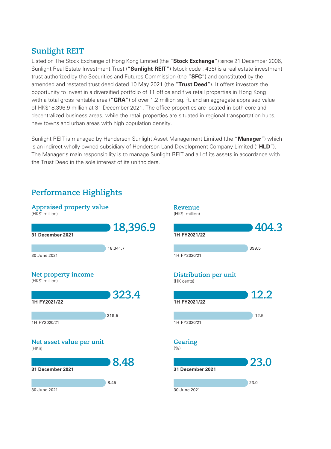# **Sunlight REIT**

Listed on The Stock Exchange of Hong Kong Limited (the "**Stock Exchange**") since 21 December 2006, Sunlight Real Estate Investment Trust ("**Sunlight REIT**") (stock code : 435) is a real estate investment trust authorized by the Securities and Futures Commission (the "**SFC**") and constituted by the amended and restated trust deed dated 10 May 2021 (the "**Trust Deed**"). It offers investors the opportunity to invest in a diversified portfolio of 11 office and five retail properties in Hong Kong with a total gross rentable area ("**GRA**") of over 1.2 million sq. ft. and an aggregate appraised value of HK\$18,396.9 million at 31 December 2021. The office properties are located in both core and decentralized business areas, while the retail properties are situated in regional transportation hubs, new towns and urban areas with high population density.

Sunlight REIT is managed by Henderson Sunlight Asset Management Limited (the "**Manager**") which is an indirect wholly-owned subsidiary of Henderson Land Development Company Limited ("**HLD**"). The Manager's main responsibility is to manage Sunlight REIT and all of its assets in accordance with the Trust Deed in the sole interest of its unitholders.

# **Performance Highlights**

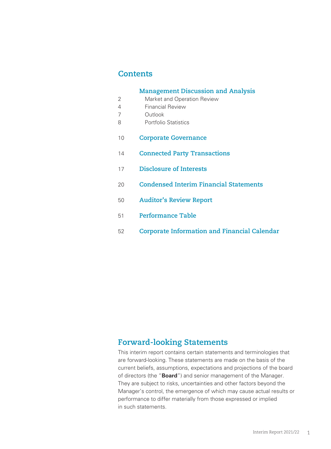# **Contents**

|    | <b>Management Discussion and Analysis</b>           |
|----|-----------------------------------------------------|
| 2  | Market and Operation Review                         |
| 4  | <b>Financial Review</b>                             |
| 7  | Outlook                                             |
| 8  | <b>Portfolio Statistics</b>                         |
| 10 | <b>Corporate Governance</b>                         |
| 14 | <b>Connected Party Transactions</b>                 |
| 17 | <b>Disclosure of Interests</b>                      |
| 20 | <b>Condensed Interim Financial Statements</b>       |
| 50 | <b>Auditor's Review Report</b>                      |
| 51 | <b>Performance Table</b>                            |
| 52 | <b>Corporate Information and Financial Calendar</b> |

# **Forward-looking Statements**

This interim report contains certain statements and terminologies that are forward-looking. These statements are made on the basis of the current beliefs, assumptions, expectations and projections of the board of directors (the "**Board**") and senior management of the Manager. They are subject to risks, uncertainties and other factors beyond the Manager's control, the emergence of which may cause actual results or performance to differ materially from those expressed or implied in such statements.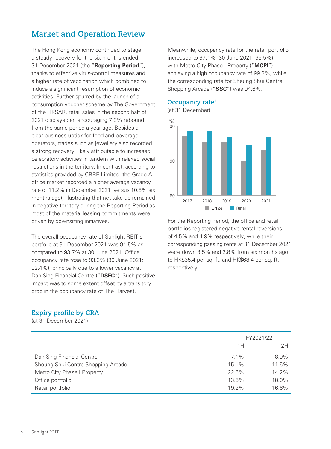# **Market and Operation Review**

The Hong Kong economy continued to stage a steady recovery for the six months ended 31 December 2021 (the "**Reporting Period**"), thanks to effective virus-control measures and a higher rate of vaccination which combined to induce a significant resumption of economic activities. Further spurred by the launch of a consumption voucher scheme by The Government of the HKSAR, retail sales in the second half of 2021 displayed an encouraging 7.9% rebound from the same period a year ago. Besides a clear business uptick for food and beverage operators, trades such as jewellery also recorded a strong recovery, likely attributable to increased celebratory activities in tandem with relaxed social restrictions in the territory. In contrast, according to statistics provided by CBRE Limited, the Grade A office market recorded a higher average vacancy rate of 11.2% in December 2021 (versus 10.8% six months ago), illustrating that net take-up remained in negative territory during the Reporting Period as most of the material leasing commitments were driven by downsizing initiatives.

The overall occupancy rate of Sunlight REIT's portfolio at 31 December 2021 was 94.5% as compared to 93.7% at 30 June 2021. Office occupancy rate rose to 93.3% (30 June 2021: 92.4%), principally due to a lower vacancy at Dah Sing Financial Centre ("**DSFC**"). Such positive impact was to some extent offset by a transitory drop in the occupancy rate of The Harvest.

### **Expiry profile by GRA**

(at 31 December 2021)

Meanwhile, occupancy rate for the retail portfolio increased to 97.1% (30 June 2021: 96.5%), with Metro City Phase I Property ("**MCPI**") achieving a high occupancy rate of 99.3%, while the corresponding rate for Sheung Shui Centre Shopping Arcade ("**SSC**") was 94.6%.

#### **Occupancy rate** 1



For the Reporting Period, the office and retail portfolios registered negative rental reversions of 4.5% and 4.9% respectively, while their corresponding passing rents at 31 December 2021 were down 3.5% and 2.8% from six months ago to HK\$35.4 per sq. ft. and HK\$68.4 per sq. ft. respectively.

|                                    |         | FY2021/22 |
|------------------------------------|---------|-----------|
|                                    | 1 H     | 2H        |
| Dah Sing Financial Centre          | $7.1\%$ | 8.9%      |
| Sheung Shui Centre Shopping Arcade | 15.1%   | 11.5%     |
| Metro City Phase I Property        | 22.6%   | 14.2%     |
| Office portfolio                   | 13.5%   | 18.0%     |
| Retail portfolio                   | 19.2%   | 16.6%     |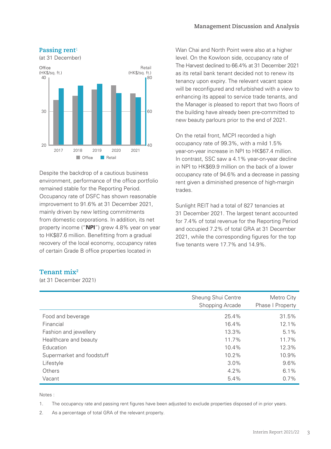

Despite the backdrop of a cautious business environment, performance of the office portfolio remained stable for the Reporting Period. Occupancy rate of DSFC has shown reasonable improvement to 91.6% at 31 December 2021, mainly driven by new letting commitments from domestic corporations. In addition, its net property income ("**NPI**") grew 4.8% year on year to HK\$87.6 million. Benefitting from a gradual recovery of the local economy, occupancy rates of certain Grade B office properties located in

Wan Chai and North Point were also at a higher level. On the Kowloon side, occupancy rate of The Harvest declined to 66.4% at 31 December 2021 as its retail bank tenant decided not to renew its tenancy upon expiry. The relevant vacant space will be reconfigured and refurbished with a view to enhancing its appeal to service trade tenants, and the Manager is pleased to report that two floors of the building have already been pre-committed to new beauty parlours prior to the end of 2021.

On the retail front, MCPI recorded a high occupancy rate of 99.3%, with a mild 1.5% year-on-year increase in NPI to HK\$67.4 million. In contrast, SSC saw a 4.1% year-on-year decline in NPI to HK\$69.9 million on the back of a lower occupancy rate of 94.6% and a decrease in passing rent given a diminished presence of high-margin trades.

Sunlight REIT had a total of 827 tenancies at 31 December 2021. The largest tenant accounted for 7.4% of total revenue for the Reporting Period and occupied 7.2% of total GRA at 31 December 2021, while the corresponding figures for the top five tenants were 17.7% and 14.9%.

### **Tenant mix2**

(at 31 December 2021)

|                           | Sheung Shui Centre<br>Shopping Arcade | Metro City<br>Phase I Property |
|---------------------------|---------------------------------------|--------------------------------|
| Food and beverage         | 25.4%                                 | 31.5%                          |
| Financial                 | 16.4%                                 | 12.1%                          |
| Fashion and jewellery     | 13.3%                                 | 5.1%                           |
| Healthcare and beauty     | 11.7%                                 | 11.7%                          |
| Education                 | 10.4%                                 | 12.3%                          |
| Supermarket and foodstuff | 10.2%                                 | 10.9%                          |
| Lifestyle                 | 3.0%                                  | 9.6%                           |
| Others                    | $4.2\%$                               | 6.1%                           |
| Vacant                    | 5.4%                                  | $0.7\%$                        |

Notes :

1. The occupancy rate and passing rent figures have been adjusted to exclude properties disposed of in prior years.

2. As a percentage of total GRA of the relevant property.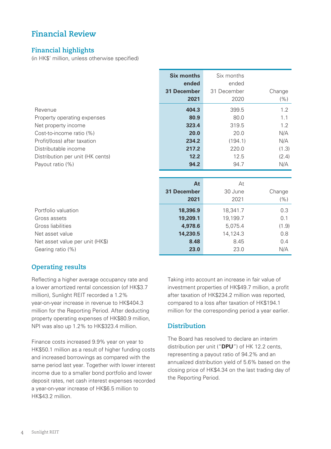# **Financial Review**

## **Financial highlights**

(in HK\$' million, unless otherwise specified)

|                                  | <b>Six months</b>  | Six months  |        |
|----------------------------------|--------------------|-------------|--------|
|                                  | ended              | ended       |        |
|                                  | <b>31 December</b> | 31 December | Change |
|                                  | 2021               | 2020        | (% )   |
| Revenue                          | 404.3              | 399.5       | 1.2    |
| Property operating expenses      | 80.9               | 80.0        | 1.1    |
| Net property income              | 323.4              | 319.5       | 1.2    |
| Cost-to-income ratio (%)         | 20.0               | 20.0        | N/A    |
| Profit/(loss) after taxation     | 234.2              | (194.1)     | N/A    |
| Distributable income             | 217.2              | 220.0       | (1.3)  |
| Distribution per unit (HK cents) | 12.2               | 12.5        | (2.4)  |
| Payout ratio (%)                 | 94.2               | 94.7        | N/A    |
|                                  |                    |             |        |
|                                  | At                 | At          |        |
|                                  | <b>31 December</b> | 30 June     | Change |
|                                  | 2021               | 2021        | (% )   |
| Portfolio valuation              | 18,396.9           | 18,341.7    | 0.3    |
| Gross assets                     | 19,209.1           | 19,199.7    | 0.1    |
| Gross liabilities                | 4,978.6            | 5,075.4     | (1.9)  |
| Net asset value                  | 14,230.5           | 14,124.3    | 0.8    |
| Net asset value per unit (HK\$)  | 8.48               | 8.45        | 0.4    |
| Gearing ratio (%)                | 23.0               | 23.0        | N/A    |

### **Operating results**

Reflecting a higher average occupancy rate and a lower amortized rental concession (of HK\$3.7 million), Sunlight REIT recorded a 1.2% year-on-year increase in revenue to HK\$404.3 million for the Reporting Period. After deducting property operating expenses of HK\$80.9 million, NPI was also up 1.2% to HK\$323.4 million.

Finance costs increased 9.9% year on year to HK\$50.1 million as a result of higher funding costs and increased borrowings as compared with the same period last year. Together with lower interest income due to a smaller bond portfolio and lower deposit rates, net cash interest expenses recorded a year-on-year increase of HK\$6.5 million to HK\$43.2 million.

Taking into account an increase in fair value of investment properties of HK\$49.7 million, a profit after taxation of HK\$234.2 million was reported, compared to a loss after taxation of HK\$194.1 million for the corresponding period a year earlier.

### **Distribution**

The Board has resolved to declare an interim distribution per unit ("**DPU**") of HK 12.2 cents, representing a payout ratio of 94.2% and an annualized distribution yield of 5.6% based on the closing price of HK\$4.34 on the last trading day of the Reporting Period.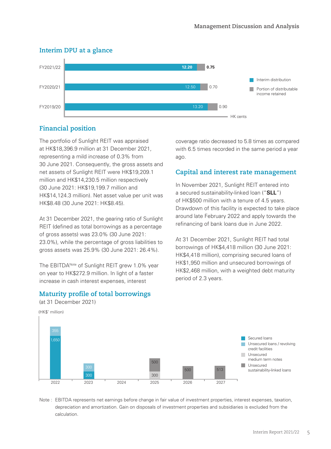

# **Interim DPU at a glance Interim DPU at a glance**

## **Financial position**

The portfolio of Sunlight REIT was appraised at HK\$18,396.9 million at 31 December 2021, representing a mild increase of 0.3% from 30 June 2021. Consequently, the gross assets and net assets of Sunlight REIT were HK\$19,209.1 million and HK\$14,230.5 million respectively (30 June 2021: HK\$19,199.7 million and HK\$14,124.3 million). Net asset value per unit was HK\$8.48 (30 June 2021: HK\$8.45).

At 31 December 2021, the gearing ratio of Sunlight REIT (defined as total borrowings as a percentage of gross assets) was 23.0% (30 June 2021: 23.0%), while the percentage of gross liabilities to gross assets was 25.9% (30 June 2021: 26.4%).

The EBITDA<sup>Note</sup> of Sunlight REIT grew 1.0% year on year to HK\$272.9 million. In light of a faster increase in cash interest expenses, interest

### **Maturity profile of total borrowings**

(at 31 December 2021)

(HK\$' million)

coverage ratio decreased to 5.8 times as compared with 6.5 times recorded in the same period a year ago.

### **Capital and interest rate management**

In November 2021, Sunlight REIT entered into a secured sustainability-linked loan ("**SLL**") of HK\$500 million with a tenure of 4.5 years. Drawdown of this facility is expected to take place around late February 2022 and apply towards the refinancing of bank loans due in June 2022.

At 31 December 2021, Sunlight REIT had total borrowings of HK\$4,418 million (30 June 2021: HK\$4,418 million), comprising secured loans of HK\$1,950 million and unsecured borrowings of HK\$2,468 million, with a weighted debt maturity period of 2.3 years.



Note : EBITDA represents net earnings before change in fair value of investment properties, interest expenses, taxation, depreciation and amortization. Gain on disposals of investment properties and subsidiaries is excluded from the calculation.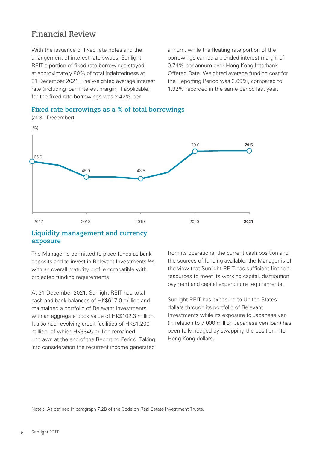# **Financial Review**

With the issuance of fixed rate notes and the arrangement of interest rate swaps, Sunlight REIT's portion of fixed rate borrowings stayed at approximately 80% of total indebtedness at 31 December 2021. The weighted average interest rate (including loan interest margin, if applicable) for the fixed rate borrowings was 2.42% per

annum, while the floating rate portion of the borrowings carried a blended interest margin of 0.74% per annum over Hong Kong Interbank Offered Rate. Weighted average funding cost for the Reporting Period was 2.09%, compared to 1.92% recorded in the same period last year.





(at 31 December)

### **Liquidity management and currency exposure**

The Manager is permitted to place funds as bank deposits and to invest in Relevant Investments<sup>Note</sup>, with an overall maturity profile compatible with projected funding requirements.

At 31 December 2021, Sunlight REIT had total cash and bank balances of HK\$617.0 million and maintained a portfolio of Relevant Investments with an aggregate book value of HK\$102.3 million. It also had revolving credit facilities of HK\$1,200 million, of which HK\$845 million remained undrawn at the end of the Reporting Period. Taking into consideration the recurrent income generated

from its operations, the current cash position and the sources of funding available, the Manager is of the view that Sunlight REIT has sufficient financial resources to meet its working capital, distribution payment and capital expenditure requirements.

Sunlight REIT has exposure to United States dollars through its portfolio of Relevant Investments while its exposure to Japanese yen (in relation to 7,000 million Japanese yen loan) has been fully hedged by swapping the position into Hong Kong dollars.

Note : As defined in paragraph 7.2B of the Code on Real Estate Investment Trusts.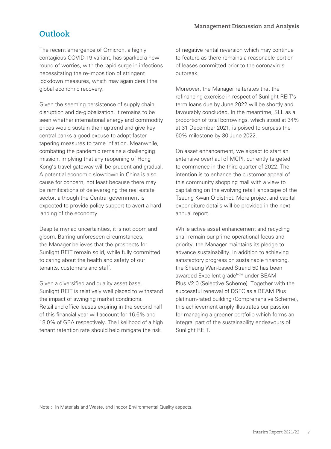# **Outlook**

The recent emergence of Omicron, a highly contagious COVID-19 variant, has sparked a new round of worries, with the rapid surge in infections necessitating the re-imposition of stringent lockdown measures, which may again derail the global economic recovery.

Given the seeming persistence of supply chain disruption and de-globalization, it remains to be seen whether international energy and commodity prices would sustain their uptrend and give key central banks a good excuse to adopt faster tapering measures to tame inflation. Meanwhile, combating the pandemic remains a challenging mission, implying that any reopening of Hong Kong's travel gateway will be prudent and gradual. A potential economic slowdown in China is also cause for concern, not least because there may be ramifications of deleveraging the real estate sector, although the Central government is expected to provide policy support to avert a hard landing of the economy.

Despite myriad uncertainties, it is not doom and gloom. Barring unforeseen circumstances, the Manager believes that the prospects for Sunlight REIT remain solid, while fully committed to caring about the health and safety of our tenants, customers and staff.

Given a diversified and quality asset base, Sunlight REIT is relatively well placed to withstand the impact of swinging market conditions. Retail and office leases expiring in the second half of this financial year will account for 16.6% and 18.0% of GRA respectively. The likelihood of a high tenant retention rate should help mitigate the risk

of negative rental reversion which may continue to feature as there remains a reasonable portion of leases committed prior to the coronavirus outbreak.

Moreover, the Manager reiterates that the refinancing exercise in respect of Sunlight REIT's term loans due by June 2022 will be shortly and favourably concluded. In the meantime, SLL as a proportion of total borrowings, which stood at 34% at 31 December 2021, is poised to surpass the 60% milestone by 30 June 2022.

On asset enhancement, we expect to start an extensive overhaul of MCPI, currently targeted to commence in the third quarter of 2022. The intention is to enhance the customer appeal of this community shopping mall with a view to capitalizing on the evolving retail landscape of the Tseung Kwan O district. More project and capital expenditure details will be provided in the next annual report.

While active asset enhancement and recycling shall remain our prime operational focus and priority, the Manager maintains its pledge to advance sustainability. In addition to achieving satisfactory progress on sustainable financing, the Sheung Wan-based Strand 50 has been awarded Excellent gradeNote under BEAM Plus V2.0 (Selective Scheme). Together with the successful renewal of DSFC as a BEAM Plus platinum-rated building (Comprehensive Scheme), this achievement amply illustrates our passion for managing a greener portfolio which forms an integral part of the sustainability endeavours of Sunlight REIT.

Note : In Materials and Waste, and Indoor Environmental Quality aspects.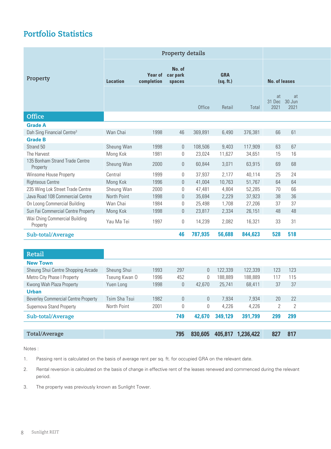# **Portfolio Statistics**

|                                                          | Property details |                   |                            |              |                         |           |                             |            |  |
|----------------------------------------------------------|------------------|-------------------|----------------------------|--------------|-------------------------|-----------|-----------------------------|------------|--|
| Property                                                 | <b>Location</b>  | completion spaces | No. of<br>Year of car park |              | <b>GRA</b><br>(sq. ft.) |           | <b>No. of leases</b>        |            |  |
|                                                          |                  |                   |                            | Office       | Retail                  | Total     | at<br>31 Dec 30 Jun<br>2021 | at<br>2021 |  |
| Office                                                   |                  |                   |                            |              |                         |           |                             |            |  |
| <b>Grade A</b>                                           |                  |                   |                            |              |                         |           |                             |            |  |
| Dah Sing Financial Centre <sup>3</sup><br><b>Grade B</b> | Wan Chai         | 1998              | 46                         | 369,891      | 6,490                   | 376,381   | 66                          | 61         |  |
| Strand 50                                                | Sheung Wan       | 1998              | $\overline{0}$             | 108,506      | 9,403                   | 117,909   | 63                          | 67         |  |
| The Harvest                                              | Mong Kok         | 1981              | $\overline{0}$             | 23,024       | 11,627                  | 34,651    | 15                          | 16         |  |
| 135 Bonham Strand Trade Centre<br>Property               | Sheung Wan       | 2000              | $\mathbf 0$                | 60,844       | 3,071                   | 63,915    | 69                          | 68         |  |
| Winsome House Property                                   | Central          | 1999              | $\overline{0}$             | 37,937       | 2,177                   | 40,114    | 25                          | 24         |  |
| <b>Righteous Centre</b>                                  | Mong Kok         | 1996              | $\overline{0}$             | 41,004       | 10,763                  | 51,767    | 64                          | 64         |  |
| 235 Wing Lok Street Trade Centre                         | Sheung Wan       | 2000              | $\overline{0}$             | 47,481       | 4,804                   | 52,285    | 70                          | 66         |  |
| Java Road 108 Commercial Centre                          | North Point      | 1998              | $\theta$                   | 35,694       | 2,229                   | 37,923    | 38                          | $36\,$     |  |
| On Loong Commercial Building                             | Wan Chai         | 1984              | $\mathbf 0$                | 25,498       | 1,708                   | 27,206    | 37                          | 37         |  |
| Sun Fai Commercial Centre Property                       | Mong Kok         | 1998              | $\overline{0}$             | 23,817       | 2,334                   | 26,151    | 48                          | 48         |  |
| Wai Ching Commercial Building<br>Property                | Yau Ma Tei       | 1997              | $\mathbf 0$                | 14,239       | 2,082                   | 16,321    | 33                          | 31         |  |
| Sub-total/Average                                        |                  |                   | 46                         | 787,935      | 56,688                  | 844,623   |                             | 528 518    |  |
|                                                          |                  |                   |                            |              |                         |           |                             |            |  |
| Retail                                                   |                  |                   |                            |              |                         |           |                             |            |  |
| <b>New Town</b>                                          |                  |                   |                            |              |                         |           |                             |            |  |
| Sheung Shui Centre Shopping Arcade                       | Sheung Shui      | 1993              | 297                        |              | 0 122,339               | 122,339   | 123                         | 123        |  |
| Metro City Phase I Property                              | Tseung Kwan O    | 1996              | 452                        | $\theta$     | 188,889                 | 188,889   | 117                         | 115        |  |
| Kwong Wah Plaza Property                                 | Yuen Long        | 1998              | $\overline{0}$             | 42,670       | 25,741                  | 68,411    | 37                          | 37         |  |
| <b>Urban</b>                                             |                  |                   |                            |              |                         |           |                             |            |  |
| <b>Beverley Commercial Centre Property</b>               | Tsim Sha Tsui    | 1982              | $\mathbf{0}$               | $\bigcap$    | 7,934                   | 7,934     | 20                          | 22         |  |
| Supernova Stand Property                                 | North Point      | 2001              | $\mathbf 0$                | $\mathbf{0}$ | 4,226                   | 4,226     | $\mathbf{2}$                | 2          |  |
| Sub-total/Average                                        |                  |                   | 749                        | 42,670       | 349,129                 | 391,799   |                             | 299 299    |  |
| Total/Average                                            |                  |                   | 795                        | 830,605      | 405,817                 | 1,236,422 | 827                         | 817        |  |

Notes :

1. Passing rent is calculated on the basis of average rent per sq. ft. for occupied GRA on the relevant date.

- 2. Rental reversion is calculated on the basis of change in effective rent of the leases renewed and commenced during the relevant period.
- 3. The property was previously known as Sunlight Tower.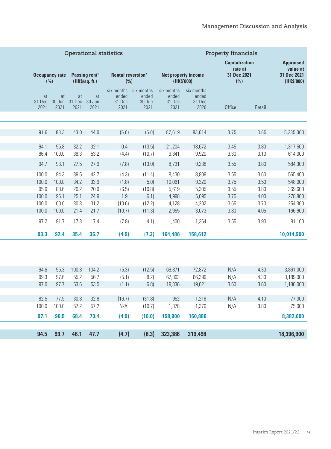|                                                           |              | <b>Property financials</b>                             |                                       |                                       |                         | <b>Operational statistics</b>                    |                |                      |               |                                                 |
|-----------------------------------------------------------|--------------|--------------------------------------------------------|---------------------------------------|---------------------------------------|-------------------------|--------------------------------------------------|----------------|----------------------|---------------|-------------------------------------------------|
| <b>Appraised</b><br>value at<br>31 Dec 2021<br>(HK\$'000) |              | <b>Capitalization</b><br>rate at<br>31 Dec 2021<br>(%) | (HK\$'000)                            | Net property income                   |                         | <b>Rental reversion<sup>2</sup></b><br>(%)       | (HK\$/sq. ft.) |                      |               | Occupancy rate Passing rent <sup>1</sup><br>(%) |
|                                                           | Retail       | Office                                                 | six months<br>ended<br>31 Dec<br>2020 | six months<br>ended<br>31 Dec<br>2021 | ended<br>30 Jun<br>2021 | six months six months<br>ended<br>31 Dec<br>2021 | at             | at<br>2021 2021 2021 | at            | at<br>31 Dec 30 Jun 31 Dec 30 Jun<br>2021       |
|                                                           |              |                                                        |                                       |                                       |                         |                                                  |                |                      |               |                                                 |
| 5,235,000                                                 | 3.65         | 3.75                                                   | 83,614                                | 87,619                                | (5.0)                   | (5.0)                                            | 44.0           | 43.0                 | 88.3          | 91.6                                            |
| 1,317,500<br>614,000                                      | 3.80<br>3.10 | 3.45<br>3.30                                           | 18,672<br>9,920                       | 21,204<br>9,341                       | (13.5)<br>(10.7)        | 0.4<br>(4.4)                                     | 32.1<br>53.2   | 32.2<br>36.3         | 95.8<br>100.0 | 94.1<br>66.4                                    |
| 584,300                                                   | 3.80         | 3.55                                                   | 9,238                                 | 8,731                                 | (13.0)                  | (7.8)                                            | 27.9           | 27.5                 | 93.1          | 94.7                                            |
| 565,400                                                   | 3.60         | 3.55                                                   | 8,809                                 | 8,430                                 | (11.4)                  | (4.3)                                            | 42.7           | 39.5                 | 94.3          | 100.0                                           |
| 548,000                                                   | 3.50         | 3.75                                                   | 9,320                                 | 10,061                                | (5.0)                   | (1.8)                                            | 33.9           | 34.2                 | 100.0         | 100.0                                           |
| 369,600                                                   | 3.80         | 3.55                                                   | 5,305                                 | 5,619                                 | (10.8)                  | (6.5)                                            | 20.9<br>24.9   | 20.2<br>25.1         | 88.6<br>96.1  | 95.6                                            |
| 278,800<br>254,300                                        | 4.00<br>3.70 | 3.75<br>3.65                                           | 5,095<br>4,202                        | 4,998<br>4,128                        | (6.1)<br>(12.2)         | 1.9<br>(10.6)                                    | 31.2           | 30.3                 | 100.0         | 100.0<br>100.0                                  |
| 166,900                                                   | 4.05         | 3.80                                                   | 3,073                                 | 2,955                                 | (11.3)                  | (10.7)                                           | 21.4 21.7      |                      | 100.0         | 100.0                                           |
| 81,100                                                    | 3.90         | 3.55                                                   | 1,364                                 | 1,400                                 | (4.1)                   | (7.8)                                            | 17.4           | 17.3                 | 91.7          | 97.2                                            |
| 10,014,900                                                |              |                                                        | 158,612                               | 164,486                               | (7.3)                   | (4.5)                                            | 36.7           | 35.4                 | 92.4          | 93.3                                            |
|                                                           |              |                                                        |                                       |                                       |                         |                                                  |                |                      |               |                                                 |
| 3,861,000                                                 | 4.30         | N/A                                                    | 72,872                                | 69,871                                | (12.5)                  | (5.3)                                            | 104.2          | 100.8                | 95.3          | 94.6                                            |
| 3,189,000                                                 | 4.30         | N/A                                                    | 66,399                                | 67,363                                | (8.2)                   | (5.1)                                            | 56.7           | 55.2                 | 97.6          | 99.3                                            |
| 1,180,000                                                 | 3.60         | 3.60                                                   | 19,021                                | 19,336                                | (6.8)                   | (1.1)                                            | 53.5           | 53.6                 | 97.7          | 97.0                                            |
| 77,000                                                    | 4.10         | N/A                                                    | 1,218                                 | 952                                   | (31.8)                  | (16.7)                                           | 32.8           | 30.8                 | 77.5          | 82.5                                            |
| 75,000                                                    | 3.80         | N/A                                                    | 1,376                                 | 1,378                                 | (10.7)                  | N/A                                              | 57.2           | 57.2                 | 100.0         | 100.0                                           |
| 8,382,000                                                 |              |                                                        | 160,886                               | 158,900                               | (10.0)                  | (4.9)                                            | 68.4 70.4      |                      | 96.5          | 97.1                                            |
| 18,396,900                                                |              |                                                        | 319,498                               | 323,386                               | (8.3)                   | (4.7)                                            | 47.7           | 46.1                 | 93.7          | 94.5                                            |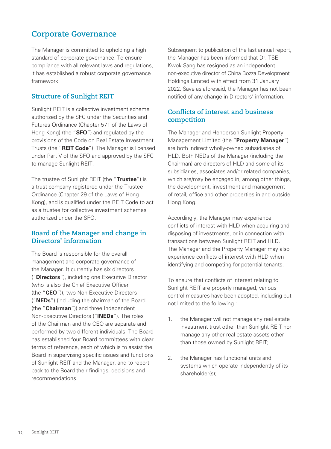# **Corporate Governance**

The Manager is committed to upholding a high standard of corporate governance. To ensure compliance with all relevant laws and regulations, it has established a robust corporate governance framework.

## **Structure of Sunlight REIT**

Sunlight REIT is a collective investment scheme authorized by the SFC under the Securities and Futures Ordinance (Chapter 571 of the Laws of Hong Kong) (the "**SFO**") and regulated by the provisions of the Code on Real Estate Investment Trusts (the "**REIT Code**"). The Manager is licensed under Part V of the SFO and approved by the SFC to manage Sunlight REIT.

The trustee of Sunlight REIT (the "**Trustee**") is a trust company registered under the Trustee Ordinance (Chapter 29 of the Laws of Hong Kong), and is qualified under the REIT Code to act as a trustee for collective investment schemes authorized under the SFO.

### **Board of the Manager and change in Directors' information**

The Board is responsible for the overall management and corporate governance of the Manager. It currently has six directors ("**Directors**"), including one Executive Director (who is also the Chief Executive Officer (the "**CEO**")), two Non-Executive Directors ("**NEDs**") (including the chairman of the Board (the "**Chairman**")) and three Independent Non-Executive Directors ("**INEDs**"). The roles of the Chairman and the CEO are separate and performed by two different individuals. The Board has established four Board committees with clear terms of reference, each of which is to assist the Board in supervising specific issues and functions of Sunlight REIT and the Manager, and to report back to the Board their findings, decisions and recommendations.

Subsequent to publication of the last annual report, the Manager has been informed that Dr. TSE Kwok Sang has resigned as an independent non-executive director of China Bozza Development Holdings Limited with effect from 31 January 2022. Save as aforesaid, the Manager has not been notified of any change in Directors' information.

### **Conflicts of interest and business competition**

The Manager and Henderson Sunlight Property Management Limited (the "**Property Manager**") are both indirect wholly-owned subsidiaries of HLD. Both NEDs of the Manager (including the Chairman) are directors of HLD and some of its subsidiaries, associates and/or related companies, which are/may be engaged in, among other things, the development, investment and management of retail, office and other properties in and outside Hong Kong.

Accordingly, the Manager may experience conflicts of interest with HLD when acquiring and disposing of investments, or in connection with transactions between Sunlight REIT and HLD. The Manager and the Property Manager may also experience conflicts of interest with HLD when identifying and competing for potential tenants.

To ensure that conflicts of interest relating to Sunlight REIT are properly managed, various control measures have been adopted, including but not limited to the following :

- 1. the Manager will not manage any real estate investment trust other than Sunlight REIT nor manage any other real estate assets other than those owned by Sunlight REIT;
- 2. the Manager has functional units and systems which operate independently of its shareholder(s);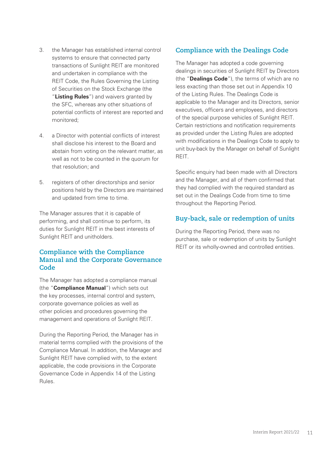- 3. the Manager has established internal control systems to ensure that connected party transactions of Sunlight REIT are monitored and undertaken in compliance with the REIT Code, the Rules Governing the Listing of Securities on the Stock Exchange (the "**Listing Rules**") and waivers granted by the SFC, whereas any other situations of potential conflicts of interest are reported and monitored;
- 4. a Director with potential conflicts of interest shall disclose his interest to the Board and abstain from voting on the relevant matter, as well as not to be counted in the quorum for that resolution; and
- 5. registers of other directorships and senior positions held by the Directors are maintained and updated from time to time.

The Manager assures that it is capable of performing, and shall continue to perform, its duties for Sunlight REIT in the best interests of Sunlight REIT and unitholders.

### **Compliance with the Compliance Manual and the Corporate Governance Code**

The Manager has adopted a compliance manual (the "**Compliance Manual**") which sets out the key processes, internal control and system, corporate governance policies as well as other policies and procedures governing the management and operations of Sunlight REIT.

During the Reporting Period, the Manager has in material terms complied with the provisions of the Compliance Manual. In addition, the Manager and Sunlight REIT have complied with, to the extent applicable, the code provisions in the Corporate Governance Code in Appendix 14 of the Listing Rules.

# **Compliance with the Dealings Code**

The Manager has adopted a code governing dealings in securities of Sunlight REIT by Directors (the "**Dealings Code**"), the terms of which are no less exacting than those set out in Appendix 10 of the Listing Rules. The Dealings Code is applicable to the Manager and its Directors, senior executives, officers and employees, and directors of the special purpose vehicles of Sunlight REIT. Certain restrictions and notification requirements as provided under the Listing Rules are adopted with modifications in the Dealings Code to apply to unit buy-back by the Manager on behalf of Sunlight REIT.

Specific enquiry had been made with all Directors and the Manager, and all of them confirmed that they had complied with the required standard as set out in the Dealings Code from time to time throughout the Reporting Period.

# **Buy-back, sale or redemption of units**

During the Reporting Period, there was no purchase, sale or redemption of units by Sunlight REIT or its wholly-owned and controlled entities.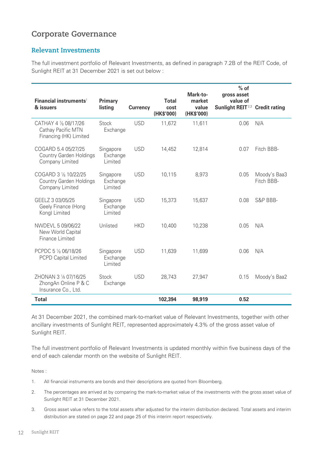# **Corporate Governance**

### **Relevant Investments**

The full investment portfolio of Relevant Investments, as defined in paragraph 7.2B of the REIT Code, of Sunlight REIT at 31 December 2021 is set out below :

| Financial instruments <sup>1</sup><br>& issuers                          | <b>Primary</b><br>listing        | <b>Currency</b> | <b>Total</b><br>cost<br>(HK\$'000) | Mark-to-<br>market<br>value<br>(HK\$'000) | $%$ of<br>gross asset<br>value of<br>Sunlight REIT <sup>2,3</sup> | <b>Credit rating</b>       |
|--------------------------------------------------------------------------|----------------------------------|-----------------|------------------------------------|-------------------------------------------|-------------------------------------------------------------------|----------------------------|
| CATHAY 4 1/8 08/17/26<br>Cathay Pacific MTN<br>Financing (HK) Limited    | Stock<br>Exchange                | <b>USD</b>      | 11,672                             | 11,611                                    | 0.06                                                              | N/A                        |
| COGARD 5.4 05/27/25<br><b>Country Garden Holdings</b><br>Company Limited | Singapore<br>Exchange<br>Limited | <b>USD</b>      | 14,452                             | 12,814                                    | 0.07                                                              | Fitch BBB-                 |
| COGARD 3 1/8 10/22/25<br>Country Garden Holdings<br>Company Limited      | Singapore<br>Exchange<br>Limited | <b>USD</b>      | 10,115                             | 8,973                                     | 0.05                                                              | Moody's Baa3<br>Fitch BBB- |
| GEELZ 3 03/05/25<br>Geely Finance (Hong<br>Kong) Limited                 | Singapore<br>Exchange<br>Limited | <b>USD</b>      | 15,373                             | 15,637                                    | 0.08                                                              | S&P BBB-                   |
| NWDEVL 5 09/06/22<br>New World Capital<br>Finance Limited                | Unlisted                         | <b>HKD</b>      | 10,400                             | 10,238                                    | 0.05                                                              | N/A                        |
| PCPDC 5 1/8 06/18/26<br><b>PCPD Capital Limited</b>                      | Singapore<br>Exchange<br>Limited | <b>USD</b>      | 11,639                             | 11,699                                    | 0.06                                                              | N/A                        |
| ZHONAN 3 1/8 07/16/25<br>ZhongAn Online P & C<br>Insurance Co., Ltd.     | <b>Stock</b><br>Exchange         | <b>USD</b>      | 28,743                             | 27,947                                    | 0.15                                                              | Moody's Baa2               |
| <b>Total</b>                                                             |                                  |                 | 102,394                            | 98,919                                    | 0.52                                                              |                            |

At 31 December 2021, the combined mark-to-market value of Relevant Investments, together with other ancillary investments of Sunlight REIT, represented approximately 4.3% of the gross asset value of Sunlight REIT.

The full investment portfolio of Relevant Investments is updated monthly within five business days of the end of each calendar month on the website of Sunlight REIT.

Notes :

- 1. All financial instruments are bonds and their descriptions are quoted from Bloomberg.
- 2. The percentages are arrived at by comparing the mark-to-market value of the investments with the gross asset value of Sunlight REIT at 31 December 2021.
- 3. Gross asset value refers to the total assets after adjusted for the interim distribution declared. Total assets and interim distribution are stated on page 22 and page 25 of this interim report respectively.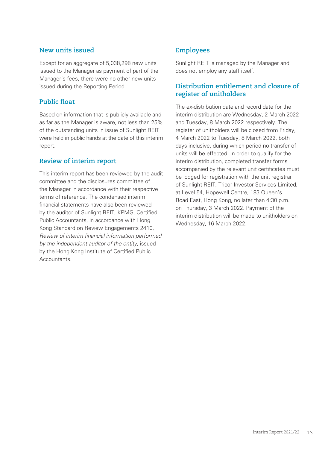### **New units issued**

Except for an aggregate of 5,038,298 new units issued to the Manager as payment of part of the Manager's fees, there were no other new units issued during the Reporting Period.

### **Public float**

Based on information that is publicly available and as far as the Manager is aware, not less than 25% of the outstanding units in issue of Sunlight REIT were held in public hands at the date of this interim report.

### **Review of interim report**

This interim report has been reviewed by the audit committee and the disclosures committee of the Manager in accordance with their respective terms of reference. The condensed interim financial statements have also been reviewed by the auditor of Sunlight REIT, KPMG, Certified Public Accountants, in accordance with Hong Kong Standard on Review Engagements 2410, *Review of interim financial information performed by the independent auditor of the entity*, issued by the Hong Kong Institute of Certified Public Accountants.

## **Employees**

Sunlight REIT is managed by the Manager and does not employ any staff itself.

### **Distribution entitlement and closure of register of unitholders**

The ex-distribution date and record date for the interim distribution are Wednesday, 2 March 2022 and Tuesday, 8 March 2022 respectively. The register of unitholders will be closed from Friday, 4 March 2022 to Tuesday, 8 March 2022, both days inclusive, during which period no transfer of units will be effected. In order to qualify for the interim distribution, completed transfer forms accompanied by the relevant unit certificates must be lodged for registration with the unit registrar of Sunlight REIT, Tricor Investor Services Limited, at Level 54, Hopewell Centre, 183 Queen's Road East, Hong Kong, no later than 4:30 p.m. on Thursday, 3 March 2022. Payment of the interim distribution will be made to unitholders on Wednesday, 16 March 2022.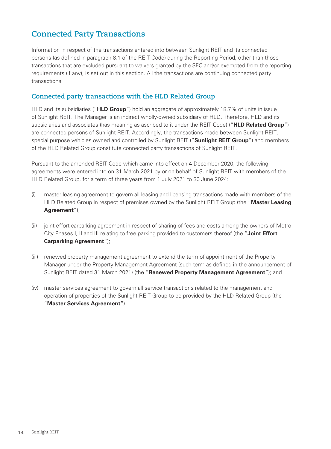# **Connected Party Transactions**

Information in respect of the transactions entered into between Sunlight REIT and its connected persons (as defined in paragraph 8.1 of the REIT Code) during the Reporting Period, other than those transactions that are excluded pursuant to waivers granted by the SFC and/or exempted from the reporting requirements (if any), is set out in this section. All the transactions are continuing connected party transactions.

### **Connected party transactions with the HLD Related Group**

HLD and its subsidiaries ("**HLD Group**") hold an aggregate of approximately 18.7% of units in issue of Sunlight REIT. The Manager is an indirect wholly-owned subsidiary of HLD. Therefore, HLD and its subsidiaries and associates (has meaning as ascribed to it under the REIT Code) ("**HLD Related Group**") are connected persons of Sunlight REIT. Accordingly, the transactions made between Sunlight REIT, special purpose vehicles owned and controlled by Sunlight REIT ("**Sunlight REIT Group**") and members of the HLD Related Group constitute connected party transactions of Sunlight REIT.

Pursuant to the amended REIT Code which came into effect on 4 December 2020, the following agreements were entered into on 31 March 2021 by or on behalf of Sunlight REIT with members of the HLD Related Group, for a term of three years from 1 July 2021 to 30 June 2024:

- (i) master leasing agreement to govern all leasing and licensing transactions made with members of the HLD Related Group in respect of premises owned by the Sunlight REIT Group (the "**Master Leasing Agreement**");
- (ii) joint effort carparking agreement in respect of sharing of fees and costs among the owners of Metro City Phases I, II and III relating to free parking provided to customers thereof (the "**Joint Effort Carparking Agreement**");
- (iii) renewed property management agreement to extend the term of appointment of the Property Manager under the Property Management Agreement (such term as defined in the announcement of Sunlight REIT dated 31 March 2021) (the "**Renewed Property Management Agreement**"); and
- (iv) master services agreement to govern all service transactions related to the management and operation of properties of the Sunlight REIT Group to be provided by the HLD Related Group (the "**Master Services Agreement"**).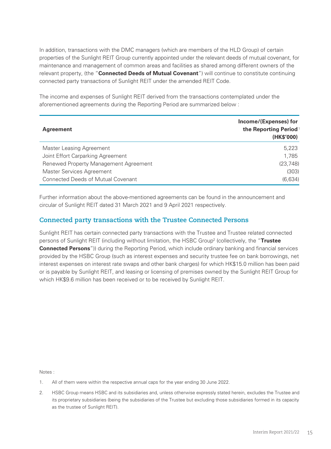In addition, transactions with the DMC managers (which are members of the HLD Group) of certain properties of the Sunlight REIT Group currently appointed under the relevant deeds of mutual covenant, for maintenance and management of common areas and facilities as shared among different owners of the relevant property, (the "**Connected Deeds of Mutual Covenant**") will continue to constitute continuing connected party transactions of Sunlight REIT under the amended REIT Code.

The income and expenses of Sunlight REIT derived from the transactions contemplated under the aforementioned agreements during the Reporting Period are summarized below :

| <b>Agreement</b>                          | Income/(Expenses) for<br>the Reporting Period <sup>1</sup><br>(HK\$'000) |
|-------------------------------------------|--------------------------------------------------------------------------|
| <b>Master Leasing Agreement</b>           | 5,223                                                                    |
| Joint Effort Carparking Agreement         | 1,785                                                                    |
| Renewed Property Management Agreement     | (23, 748)                                                                |
| Master Services Agreement                 | (303)                                                                    |
| <b>Connected Deeds of Mutual Covenant</b> | (6,634)                                                                  |

Further information about the above-mentioned agreements can be found in the announcement and circular of Sunlight REIT dated 31 March 2021 and 9 April 2021 respectively.

### **Connected party transactions with the Trustee Connected Persons**

Sunlight REIT has certain connected party transactions with the Trustee and Trustee related connected persons of Sunlight REIT (including without limitation, the HSBC Group<sup>2</sup> (collectively, the "Trustee **Connected Persons**")) during the Reporting Period, which include ordinary banking and financial services provided by the HSBC Group (such as interest expenses and security trustee fee on bank borrowings, net interest expenses on interest rate swaps and other bank charges) for which HK\$15.0 million has been paid or is payable by Sunlight REIT, and leasing or licensing of premises owned by the Sunlight REIT Group for which HK\$9.6 million has been received or to be received by Sunlight REIT.

Notes :

- 1. All of them were within the respective annual caps for the year ending 30 June 2022.
- 2. HSBC Group means HSBC and its subsidiaries and, unless otherwise expressly stated herein, excludes the Trustee and its proprietary subsidiaries (being the subsidiaries of the Trustee but excluding those subsidiaries formed in its capacity as the trustee of Sunlight REIT).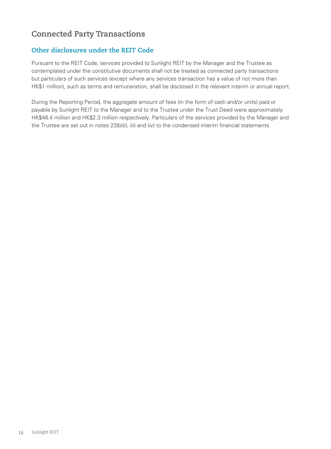# **Connected Party Transactions**

## **Other disclosures under the REIT Code**

Pursuant to the REIT Code, services provided to Sunlight REIT by the Manager and the Trustee as contemplated under the constitutive documents shall not be treated as connected party transactions but particulars of such services (except where any services transaction has a value of not more than HK\$1 million), such as terms and remuneration, shall be disclosed in the relevant interim or annual report.

During the Reporting Period, the aggregate amount of fees (in the form of cash and/or units) paid or payable by Sunlight REIT to the Manager and to the Trustee under the Trust Deed were approximately HK\$46.4 million and HK\$2.3 million respectively. Particulars of the services provided by the Manager and the Trustee are set out in notes 23(b)(i), (ii) and (iv) to the condensed interim financial statements.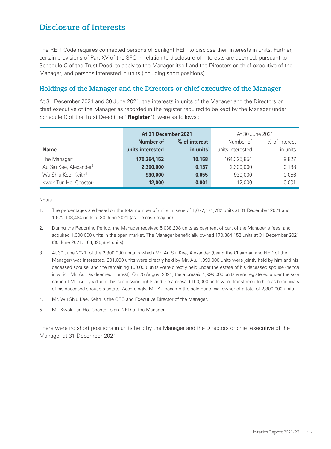# **Disclosure of Interests**

The REIT Code requires connected persons of Sunlight REIT to disclose their interests in units. Further, certain provisions of Part XV of the SFO in relation to disclosure of interests are deemed, pursuant to Schedule C of the Trust Deed, to apply to the Manager itself and the Directors or chief executive of the Manager, and persons interested in units (including short positions).

### **Holdings of the Manager and the Directors or chief executive of the Manager**

At 31 December 2021 and 30 June 2021, the interests in units of the Manager and the Directors or chief executive of the Manager as recorded in the register required to be kept by the Manager under Schedule C of the Trust Deed (the "**Register**"), were as follows :

|                                    | At 31 December 2021 |                       | At 30 June 2021  |                       |  |
|------------------------------------|---------------------|-----------------------|------------------|-----------------------|--|
|                                    | Number of           | % of interest         | Number of        | % of interest         |  |
| <b>Name</b>                        | units interested    | in units <sup>1</sup> | units interested | in units <sup>1</sup> |  |
| The Manager <sup>2</sup>           | 170,364,152         | 10.158                | 164,325,854      | 9.827                 |  |
| Au Siu Kee, Alexander <sup>3</sup> | 2,300,000           | 0.137                 | 2,300,000        | 0.138                 |  |
| Wu Shiu Kee, Keith <sup>4</sup>    | 930,000             | 0.055                 | 930,000          | 0.056                 |  |
| Kwok Tun Ho, Chester <sup>5</sup>  | 12,000              | 0.001                 | 12,000           | 0.001                 |  |

Notes :

- 1. The percentages are based on the total number of units in issue of 1,677,171,782 units at 31 December 2021 and 1,672,133,484 units at 30 June 2021 (as the case may be).
- 2. During the Reporting Period, the Manager received 5,038,298 units as payment of part of the Manager's fees; and acquired 1,000,000 units in the open market. The Manager beneficially owned 170,364,152 units at 31 December 2021 (30 June 2021: 164,325,854 units).
- 3. At 30 June 2021, of the 2,300,000 units in which Mr. Au Siu Kee, Alexander (being the Chairman and NED of the Manager) was interested, 201,000 units were directly held by Mr. Au, 1,999,000 units were jointly held by him and his deceased spouse, and the remaining 100,000 units were directly held under the estate of his deceased spouse (hence in which Mr. Au has deemed interest). On 25 August 2021, the aforesaid 1,999,000 units were registered under the sole name of Mr. Au by virtue of his succession rights and the aforesaid 100,000 units were transferred to him as beneficiary of his deceased spouse's estate. Accordingly, Mr. Au became the sole beneficial owner of a total of 2,300,000 units.
- 4. Mr. Wu Shiu Kee, Keith is the CEO and Executive Director of the Manager.
- 5. Mr. Kwok Tun Ho, Chester is an INED of the Manager.

There were no short positions in units held by the Manager and the Directors or chief executive of the Manager at 31 December 2021.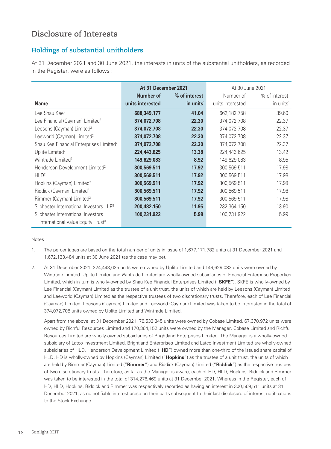# **Disclosure of Interests**

## **Holdings of substantial unitholders**

At 31 December 2021 and 30 June 2021, the interests in units of the substantial unitholders, as recorded in the Register, were as follows :

|                                                     | At 31 December 2021 |                       | At 30 June 2021  |                       |  |
|-----------------------------------------------------|---------------------|-----------------------|------------------|-----------------------|--|
|                                                     | <b>Number of</b>    | % of interest         | Number of        | % of interest         |  |
| <b>Name</b>                                         | units interested    | in units <sup>1</sup> | units interested | in units <sup>1</sup> |  |
| Lee Shau Kee <sup>2</sup>                           | 688,349,177         | 41.04                 | 662, 182, 758    | 39.60                 |  |
| Lee Financial (Cayman) Limited <sup>2</sup>         | 374,072,708         | 22.30                 | 374,072,708      | 22.37                 |  |
| Leesons (Cayman) Limited <sup>2</sup>               | 374,072,708         | 22.30                 | 374,072,708      | 22.37                 |  |
| Leeworld (Cayman) Limited <sup>2</sup>              | 374,072,708         | 22.30                 | 374,072,708      | 22.37                 |  |
| Shau Kee Financial Enterprises Limited <sup>2</sup> | 374,072,708         | 22.30                 | 374,072,708      | 22.37                 |  |
| Uplite Limited <sup>2</sup>                         | 224,443,625         | 13.38                 | 224,443,625      | 13.42                 |  |
| Wintrade Limited <sup>2</sup>                       | 149,629,083         | 8.92                  | 149,629,083      | 8.95                  |  |
| Henderson Development Limited <sup>2</sup>          | 300,569,511         | 17.92                 | 300,569,511      | 17.98                 |  |
| HLD <sup>2</sup>                                    | 300,569,511         | 17.92                 | 300,569,511      | 17.98                 |  |
| Hopkins (Cayman) Limited <sup>2</sup>               | 300,569,511         | 17.92                 | 300,569,511      | 17.98                 |  |
| Riddick (Cayman) Limited <sup>2</sup>               | 300,569,511         | 17.92                 | 300,569,511      | 17.98                 |  |
| Rimmer (Cayman) Limited <sup>2</sup>                | 300,569,511         | 17.92                 | 300,569,511      | 17.98                 |  |
| Silchester International Investors LLP <sup>3</sup> | 200,482,150         | 11.95                 | 232,364,150      | 13.90                 |  |
| Silchester International Investors                  | 100,231,922         | 5.98                  | 100,231,922      | 5.99                  |  |
| International Value Equity Trust <sup>3</sup>       |                     |                       |                  |                       |  |

Notes :

- 1. The percentages are based on the total number of units in issue of 1,677,171,782 units at 31 December 2021 and 1,672,133,484 units at 30 June 2021 (as the case may be).
- 2. At 31 December 2021, 224,443,625 units were owned by Uplite Limited and 149,629,083 units were owned by Wintrade Limited. Uplite Limited and Wintrade Limited are wholly-owned subsidiaries of Financial Enterprise Properties Limited, which in turn is wholly-owned by Shau Kee Financial Enterprises Limited ("**SKFE**"). SKFE is wholly-owned by Lee Financial (Cayman) Limited as the trustee of a unit trust, the units of which are held by Leesons (Cayman) Limited and Leeworld (Cayman) Limited as the respective trustees of two discretionary trusts. Therefore, each of Lee Financial (Cayman) Limited, Leesons (Cayman) Limited and Leeworld (Cayman) Limited was taken to be interested in the total of 374,072,708 units owned by Uplite Limited and Wintrade Limited.

Apart from the above, at 31 December 2021, 76,533,345 units were owned by Cobase Limited, 67,378,972 units were owned by Richful Resources Limited and 170,364,152 units were owned by the Manager. Cobase Limited and Richful Resources Limited are wholly-owned subsidiaries of Brightland Enterprises Limited. The Manager is a wholly-owned subsidiary of Latco Investment Limited. Brightland Enterprises Limited and Latco Investment Limited are wholly-owned subsidiaries of HLD. Henderson Development Limited ("**HD**") owned more than one-third of the issued share capital of HLD. HD is wholly-owned by Hopkins (Cayman) Limited ("**Hopkins**") as the trustee of a unit trust, the units of which are held by Rimmer (Cayman) Limited ("**Rimmer**") and Riddick (Cayman) Limited ("**Riddick**") as the respective trustees of two discretionary trusts. Therefore, as far as the Manager is aware, each of HD, HLD, Hopkins, Riddick and Rimmer was taken to be interested in the total of 314,276,469 units at 31 December 2021. Whereas in the Register, each of HD, HLD, Hopkins, Riddick and Rimmer was respectively recorded as having an interest in 300,569,511 units at 31 December 2021, as no notifiable interest arose on their parts subsequent to their last disclosure of interest notifications to the Stock Exchange.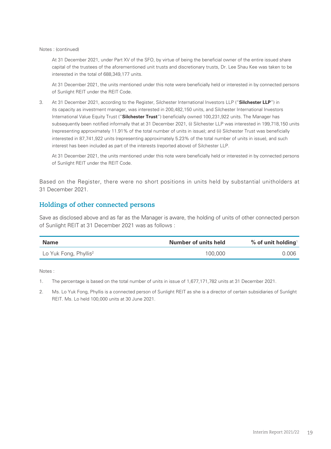Notes : (continued)

At 31 December 2021, under Part XV of the SFO, by virtue of being the beneficial owner of the entire issued share capital of the trustees of the aforementioned unit trusts and discretionary trusts, Dr. Lee Shau Kee was taken to be interested in the total of 688,349,177 units.

At 31 December 2021, the units mentioned under this note were beneficially held or interested in by connected persons of Sunlight REIT under the REIT Code.

3. At 31 December 2021, according to the Register, Silchester International Investors LLP ("**Silchester LLP**") in its capacity as investment manager, was interested in 200,482,150 units, and Silchester International Investors International Value Equity Trust ("**Silchester Trust**") beneficially owned 100,231,922 units. The Manager has subsequently been notified informally that at 31 December 2021, (i) Silchester LLP was interested in 199,718,150 units (representing approximately 11.91% of the total number of units in issue); and (ii) Silchester Trust was beneficially interested in 87,741,922 units (representing approximately 5.23% of the total number of units in issue), and such interest has been included as part of the interests (reported above) of Silchester LLP.

At 31 December 2021, the units mentioned under this note were beneficially held or interested in by connected persons of Sunlight REIT under the REIT Code.

Based on the Register, there were no short positions in units held by substantial unitholders at 31 December 2021.

### **Holdings of other connected persons**

Save as disclosed above and as far as the Manager is aware, the holding of units of other connected person of Sunlight REIT at 31 December 2021 was as follows :

| <b>Name</b>                       | Number of units held | % of unit holding <sup>1</sup> |
|-----------------------------------|----------------------|--------------------------------|
| Lo Yuk Fong, Phyllis <sup>2</sup> | 100,000              | 0.006                          |

Notes :

<sup>1.</sup> The percentage is based on the total number of units in issue of 1,677,171,782 units at 31 December 2021.

<sup>2.</sup> Ms. Lo Yuk Fong, Phyllis is a connected person of Sunlight REIT as she is a director of certain subsidiaries of Sunlight REIT. Ms. Lo held 100,000 units at 30 June 2021.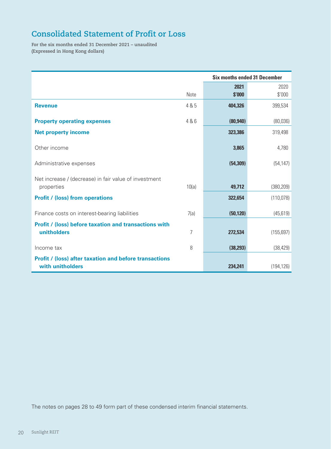# **Consolidated Statement of Profit or Loss**

**For the six months ended 31 December 2021 – unaudited (Expressed in Hong Kong dollars)**

|                                                               |       | <b>Six months ended 31 December</b> |            |
|---------------------------------------------------------------|-------|-------------------------------------|------------|
|                                                               |       | 2021                                | 2020       |
|                                                               | Note  | \$'000                              | \$'000     |
| <b>Revenue</b>                                                | 4 & 5 | 404,326                             | 399,534    |
| <b>Property operating expenses</b>                            | 4 & 6 | (80, 940)                           | (80,036)   |
| <b>Net property income</b>                                    |       | 323,386                             | 319,498    |
| Other income                                                  |       | 3,865                               | 4,780      |
| Administrative expenses                                       |       | (54, 309)                           | (54, 147)  |
| Net increase / (decrease) in fair value of investment         |       |                                     |            |
| properties                                                    | 10(a) | 49,712                              | (380, 209) |
| <b>Profit / (loss) from operations</b>                        |       | 322,654                             | (110, 078) |
| Finance costs on interest-bearing liabilities                 | 7(a)  | (50, 120)                           | (45, 619)  |
| <b>Profit / (loss) before taxation and transactions with</b>  |       |                                     |            |
| unitholders                                                   | 7     | 272,534                             | (155, 697) |
| Income tax                                                    | 8     | (38, 293)                           | (38, 429)  |
| <b>Profit / (loss) after taxation and before transactions</b> |       |                                     |            |
| with unitholders                                              |       | 234,241                             | (194, 126) |

The notes on pages 28 to 49 form part of these condensed interim financial statements.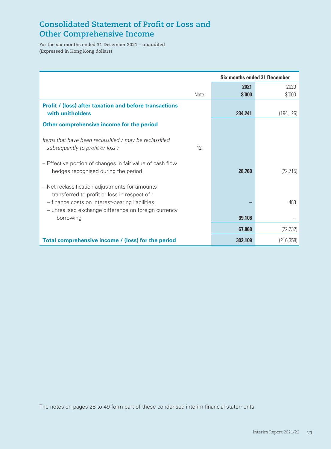# **Consolidated Statement of Profit or Loss and Other Comprehensive Income**

**For the six months ended 31 December 2021 – unaudited (Expressed in Hong Kong dollars)**

|                                                                                                                                                    |             | <b>Six months ended 31 December</b> |            |  |
|----------------------------------------------------------------------------------------------------------------------------------------------------|-------------|-------------------------------------|------------|--|
|                                                                                                                                                    |             | 2021                                | 2020       |  |
|                                                                                                                                                    | <b>Note</b> | \$'000                              | \$'000     |  |
| <b>Profit / (loss) after taxation and before transactions</b><br>with unitholders                                                                  |             | 234,241                             | (194, 126) |  |
| Other comprehensive income for the period                                                                                                          |             |                                     |            |  |
| Items that have been reclassified / may be reclassified<br>subsequently to profit or loss :                                                        | 12          |                                     |            |  |
| - Effective portion of changes in fair value of cash flow<br>hedges recognised during the period                                                   |             | 28.760                              | (22, 715)  |  |
| - Net reclassification adjustments for amounts<br>transferred to profit or loss in respect of :<br>- finance costs on interest-bearing liabilities |             |                                     | 483        |  |
| - unrealised exchange difference on foreign currency<br>borrowing                                                                                  |             | 39,108                              |            |  |
|                                                                                                                                                    |             | 67,868                              | (22, 232)  |  |
| Total comprehensive income / (loss) for the period                                                                                                 |             | 302,109                             | (216, 358) |  |

The notes on pages 28 to 49 form part of these condensed interim financial statements.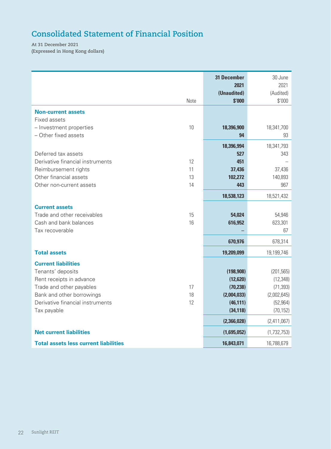# **Consolidated Statement of Financial Position**

**At 31 December 2021 (Expressed in Hong Kong dollars)**

|                                                       | Note     | <b>31 December</b><br>2021<br>(Unaudited)<br>\$'000 | 30 June<br>2021<br>(Audited)<br>\$'000 |
|-------------------------------------------------------|----------|-----------------------------------------------------|----------------------------------------|
| <b>Non-current assets</b>                             |          |                                                     |                                        |
| Fixed assets                                          |          |                                                     |                                        |
| - Investment properties<br>- Other fixed assets       | 10       | 18,396,900<br>94                                    | 18,341,700<br>93                       |
|                                                       |          | 18,396,994                                          | 18,341,793                             |
| Deferred tax assets                                   |          | 527                                                 | 343                                    |
| Derivative financial instruments                      | 12       | 451                                                 |                                        |
| Reimbursement rights                                  | 11       | 37,436                                              | 37,436                                 |
| Other financial assets                                | 13       | 102,272                                             | 140,893                                |
| Other non-current assets                              | 14       | 443                                                 | 967                                    |
|                                                       |          | 18,538,123                                          | 18,521,432                             |
| <b>Current assets</b>                                 |          |                                                     |                                        |
| Trade and other receivables<br>Cash and bank balances | 15<br>16 | 54,024<br>616,952                                   | 54,946<br>623,301                      |
| Tax recoverable                                       |          |                                                     | 67                                     |
|                                                       |          | 670,976                                             | 678,314                                |
| <b>Total assets</b>                                   |          | 19,209,099                                          | 19,199,746                             |
| <b>Current liabilities</b>                            |          |                                                     |                                        |
| Tenants' deposits                                     |          | (198, 908)                                          | (201, 565)                             |
| Rent receipts in advance                              |          | (12, 620)                                           | (12, 348)                              |
| Trade and other payables                              | 17       | (70, 238)                                           | (71, 393)                              |
| Bank and other borrowings                             | 18<br>12 | (2,004,033)                                         | (2,002,645)                            |
| Derivative financial instruments<br>Tax payable       |          | (46, 111)<br>(34, 118)                              | (52, 964)<br>(70, 152)                 |
|                                                       |          | (2,366,028)                                         | (2,411,067)                            |
| <b>Net current liabilities</b>                        |          | (1,695,052)                                         | (1,732,753)                            |
| <b>Total assets less current liabilities</b>          |          | 16,843,071                                          | 16,788,679                             |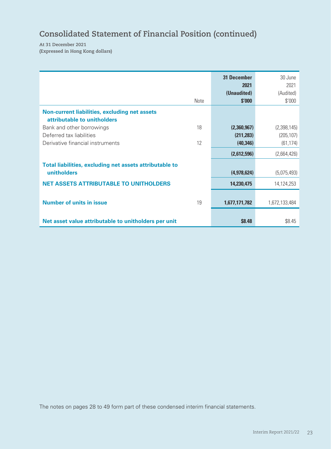# **Consolidated Statement of Financial Position (continued)**

**At 31 December 2021 (Expressed in Hong Kong dollars)**

|                                                                                     | <b>31 December</b><br>2021 | 30 June<br>2021 |
|-------------------------------------------------------------------------------------|----------------------------|-----------------|
|                                                                                     | (Unaudited)                | (Audited)       |
| Note                                                                                | \$'000                     | \$'000          |
| <b>Non-current liabilities, excluding net assets</b><br>attributable to unitholders |                            |                 |
| 18<br>Bank and other borrowings                                                     | (2,360,967)                | (2,398,145)     |
| Deferred tax liabilities                                                            | (211, 283)                 | (205, 107)      |
| Derivative financial instruments<br>12                                              | (40, 346)                  | (61, 174)       |
|                                                                                     | (2,612,596)                | (2,664,426)     |
| Total liabilities, excluding net assets attributable to<br>unitholders              | (4,978,624)                | (5,075,493)     |
| <b>NET ASSETS ATTRIBUTABLE TO UNITHOLDERS</b>                                       | 14,230,475                 | 14,124,253      |
| <b>Number of units in issue</b><br>19                                               | 1,677,171,782              | 1,672,133,484   |
| Net asset value attributable to unitholders per unit                                | \$8.48                     | \$8.45          |

The notes on pages 28 to 49 form part of these condensed interim financial statements.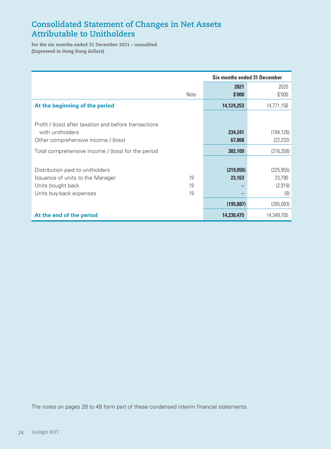# **Consolidated Statement of Changes in Net Assets Attributable to Unitholders**

**For the six months ended 31 December 2021 – unaudited (Expressed in Hong Kong dollars)**

|                                                        |      | <b>Six months ended 31 December</b> |            |  |
|--------------------------------------------------------|------|-------------------------------------|------------|--|
|                                                        |      | 2021                                | 2020       |  |
|                                                        | Note | \$'000                              | \$'000     |  |
| At the beginning of the period                         |      | 14,124,253                          | 14,771,156 |  |
|                                                        |      |                                     |            |  |
| Profit / (loss) after taxation and before transactions |      |                                     |            |  |
| with unitholders                                       |      | 234,241                             | (194, 126) |  |
| Other comprehensive income / (loss)                    |      | 67,868                              | (22, 232)  |  |
| Total comprehensive income / (loss) for the period     |      | 302,109                             | (216, 358) |  |
|                                                        |      |                                     |            |  |
| Distribution paid to unitholders                       |      | (219,050)                           | (225, 955) |  |
| Issuance of units to the Manager                       | 19   | 23,163                              | 23,790     |  |
| Units bought back                                      | 19   |                                     | (2,919)    |  |
| Units buy-back expenses                                | 19   |                                     | (9)        |  |
|                                                        |      | (195, 887)                          | (205,093)  |  |
| At the end of the period                               |      | 14,230,475                          | 14,349,705 |  |

The notes on pages 28 to 49 form part of these condensed interim financial statements.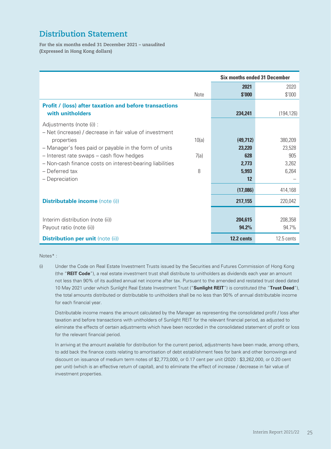# **Distribution Statement**

**For the six months ended 31 December 2021 – unaudited (Expressed in Hong Kong dollars)**

|                                                               |       | <b>Six months ended 31 December</b> |            |  |
|---------------------------------------------------------------|-------|-------------------------------------|------------|--|
|                                                               |       | 2021                                | 2020       |  |
|                                                               | Note  | \$'000                              | \$'000     |  |
| <b>Profit / (loss) after taxation and before transactions</b> |       |                                     |            |  |
| with unitholders                                              |       | 234,241                             | (194, 126) |  |
| Adjustments (note (i)) :                                      |       |                                     |            |  |
| - Net (increase) / decrease in fair value of investment       |       |                                     |            |  |
| properties                                                    | 10(a) | (49, 712)                           | 380,209    |  |
| - Manager's fees paid or payable in the form of units         |       | 23,220                              | 23,528     |  |
| - Interest rate swaps - cash flow hedges                      | 7(a)  | 628                                 | 905        |  |
| - Non-cash finance costs on interest-bearing liabilities      |       | 2,773                               | 3,262      |  |
| - Deferred tax                                                | 8     | 5,993                               | 6,264      |  |
| - Depreciation                                                |       | 12                                  |            |  |
|                                                               |       | (17,086)                            | 414,168    |  |
| <b>Distributable income</b> (note (i))                        |       | 217,155                             | 220,042    |  |
|                                                               |       |                                     |            |  |
| Interim distribution (note (ii))                              |       | 204,615                             | 208,358    |  |
| Payout ratio (note (ii))                                      |       | 94.2%                               | 94.7%      |  |
| <b>Distribution per unit (note (ii))</b>                      |       | 12.2 cents                          | 12.5 cents |  |

#### Notes\* :

(i) Under the Code on Real Estate Investment Trusts issued by the Securities and Futures Commission of Hong Kong (the "**REIT Code**"), a real estate investment trust shall distribute to unitholders as dividends each year an amount not less than 90% of its audited annual net income after tax. Pursuant to the amended and restated trust deed dated 10 May 2021 under which Sunlight Real Estate Investment Trust ("**Sunlight REIT**") is constituted (the "**Trust Deed**"), the total amounts distributed or distributable to unitholders shall be no less than 90% of annual distributable income for each financial year.

Distributable income means the amount calculated by the Manager as representing the consolidated profit / loss after taxation and before transactions with unitholders of Sunlight REIT for the relevant financial period, as adjusted to eliminate the effects of certain adjustments which have been recorded in the consolidated statement of profit or loss for the relevant financial period.

In arriving at the amount available for distribution for the current period, adjustments have been made, among others, to add back the finance costs relating to amortisation of debt establishment fees for bank and other borrowings and discount on issuance of medium term notes of \$2,773,000, or 0.17 cent per unit (2020 : \$3,262,000, or 0.20 cent per unit) (which is an effective return of capital), and to eliminate the effect of increase / decrease in fair value of investment properties.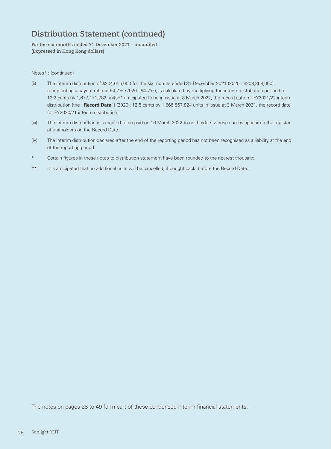# **Distribution Statement (continued)**

**For the six months ended 31 December 2021 – unaudited (Expressed in Hong Kong dollars)**

#### Notes\* : (continued)

- (ii) The interim distribution of \$204,615,000 for the six months ended 31 December 2021 (2020 : \$208,358,000), representing a payout ratio of 94.2% (2020 : 94.7%), is calculated by multiplying the interim distribution per unit of 12.2 cents by 1,677,171,782 units\*\* anticipated to be in issue at 8 March 2022, the record date for FY2021/22 interim distribution (the "**Record Date**") (2020 : 12.5 cents by 1,666,867,824 units in issue at 3 March 2021, the record date for FY2020/21 interim distribution).
- (iii) The interim distribution is expected to be paid on 16 March 2022 to unitholders whose names appear on the register of unitholders on the Record Date.
- (iv) The interim distribution declared after the end of the reporting period has not been recognised as a liability at the end of the reporting period.
- Certain figures in these notes to distribution statement have been rounded to the nearest thousand.
- \*\* It is anticipated that no additional units will be cancelled, if bought back, before the Record Date.

The notes on pages 28 to 49 form part of these condensed interim financial statements.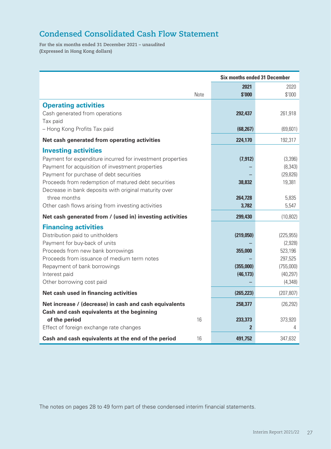# **Condensed Consolidated Cash Flow Statement**

**For the six months ended 31 December 2021 – unaudited (Expressed in Hong Kong dollars)**

|                                                            |      | <b>Six months ended 31 December</b> |            |
|------------------------------------------------------------|------|-------------------------------------|------------|
|                                                            |      | 2021                                | 2020       |
|                                                            | Note | \$'000                              | \$'000     |
| <b>Operating activities</b>                                |      |                                     |            |
| Cash generated from operations                             |      | 292,437                             | 261,918    |
| Tax paid                                                   |      |                                     |            |
| - Hong Kong Profits Tax paid                               |      | (68, 267)                           | (69, 601)  |
| Net cash generated from operating activities               |      | 224,170                             | 192,317    |
| <b>Investing activities</b>                                |      |                                     |            |
| Payment for expenditure incurred for investment properties |      | (7, 912)                            | (3,396)    |
| Payment for acquisition of investment properties           |      |                                     | (8, 343)   |
| Payment for purchase of debt securities                    |      |                                     | (29, 826)  |
| Proceeds from redemption of matured debt securities        |      | 38,832                              | 19,381     |
| Decrease in bank deposits with original maturity over      |      |                                     |            |
| three months                                               |      | 264,728                             | 5,835      |
| Other cash flows arising from investing activities         |      | 3,782                               | 5,547      |
| Net cash generated from / (used in) investing activities   |      | 299,430                             | (10, 802)  |
| <b>Financing activities</b>                                |      |                                     |            |
| Distribution paid to unitholders                           |      | (219,050)                           | (225, 955) |
| Payment for buy-back of units                              |      |                                     | (2,928)    |
| Proceeds from new bank borrowings                          |      | 355,000                             | 523,196    |
| Proceeds from issuance of medium term notes                |      |                                     | 297,525    |
| Repayment of bank borrowings                               |      | (355,000)                           | (755,000)  |
| Interest paid                                              |      | (46, 173)                           | (40, 297)  |
| Other borrowing cost paid                                  |      |                                     | (4, 348)   |
| Net cash used in financing activities                      |      | (265, 223)                          | (207, 807) |
| Net increase / (decrease) in cash and cash equivalents     |      | 258,377                             | (26, 292)  |
| Cash and cash equivalents at the beginning                 |      |                                     |            |
| of the period                                              | 16   | 233,373                             | 373,920    |
| Effect of foreign exchange rate changes                    |      | $\overline{2}$                      | 4          |
| Cash and cash equivalents at the end of the period         | 16   | 491,752                             | 347,632    |

The notes on pages 28 to 49 form part of these condensed interim financial statements.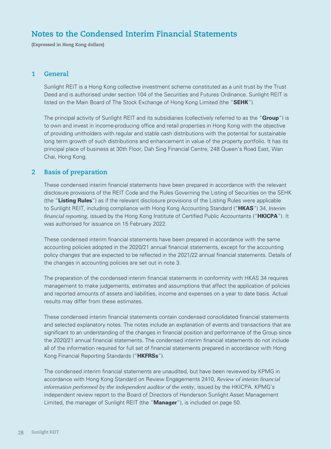# **Notes to the Condensed Interim Financial Statements**

**(Expressed in Hong Kong dollars)**

### **1 General**

Sunlight REIT is a Hong Kong collective investment scheme constituted as a unit trust by the Trust Deed and is authorised under section 104 of the Securities and Futures Ordinance. Sunlight REIT is listed on the Main Board of The Stock Exchange of Hong Kong Limited (the "**SEHK**").

The principal activity of Sunlight REIT and its subsidiaries (collectively referred to as the "**Group**") is to own and invest in income-producing office and retail properties in Hong Kong with the objective of providing unitholders with regular and stable cash distributions with the potential for sustainable long term growth of such distributions and enhancement in value of the property portfolio. It has its principal place of business at 30th Floor, Dah Sing Financial Centre, 248 Queen's Road East, Wan Chai, Hong Kong.

### **2 Basis of preparation**

These condensed interim financial statements have been prepared in accordance with the relevant disclosure provisions of the REIT Code and the Rules Governing the Listing of Securities on the SEHK (the "**Listing Rules**") as if the relevant disclosure provisions of the Listing Rules were applicable to Sunlight REIT, including compliance with Hong Kong Accounting Standard ("**HKAS**") 34, *Interim financial reporting*, issued by the Hong Kong Institute of Certified Public Accountants ("**HKICPA**"). It was authorised for issuance on 15 February 2022.

These condensed interim financial statements have been prepared in accordance with the same accounting policies adopted in the 2020/21 annual financial statements, except for the accounting policy changes that are expected to be reflected in the 2021/22 annual financial statements. Details of the changes in accounting policies are set out in note 3.

The preparation of the condensed interim financial statements in conformity with HKAS 34 requires management to make judgements, estimates and assumptions that affect the application of policies and reported amounts of assets and liabilities, income and expenses on a year to date basis. Actual results may differ from these estimates.

These condensed interim financial statements contain condensed consolidated financial statements and selected explanatory notes. The notes include an explanation of events and transactions that are significant to an understanding of the changes in financial position and performance of the Group since the 2020/21 annual financial statements. The condensed interim financial statements do not include all of the information required for full set of financial statements prepared in accordance with Hong Kong Financial Reporting Standards ("**HKFRSs**").

The condensed interim financial statements are unaudited, but have been reviewed by KPMG in accordance with Hong Kong Standard on Review Engagements 2410, *Review of interim financial information performed by the independent auditor of the entity*, issued by the HKICPA. KPMG's independent review report to the Board of Directors of Henderson Sunlight Asset Management Limited, the manager of Sunlight REIT (the "**Manager**"), is included on page 50.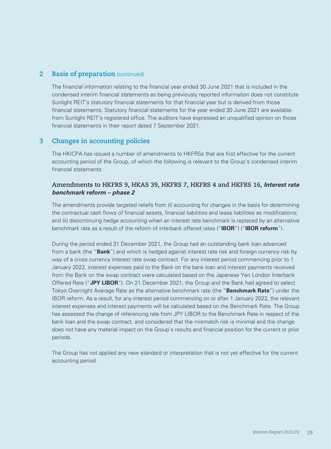### **2 Basis of preparation** (continued)

The financial information relating to the financial year ended 30 June 2021 that is included in the condensed interim financial statements as being previously reported information does not constitute Sunlight REIT's statutory financial statements for that financial year but is derived from those financial statements. Statutory financial statements for the year ended 30 June 2021 are available from Sunlight REIT's registered office. The auditors have expressed an unqualified opinion on those financial statements in their report dated 7 September 2021.

### **3 Changes in accounting policies**

The HKICPA has issued a number of amendments to HKFRSs that are first effective for the current accounting period of the Group, of which the following is relevant to the Group's condensed interim financial statements :

### **Amendments to HKFRS 9, HKAS 39, HKFRS 7, HKFRS 4 and HKFRS 16,** *Interest rate benchmark reform – phase 2*

The amendments provide targeted reliefs from (i) accounting for changes in the basis for determining the contractual cash flows of financial assets, financial liabilities and lease liabilities as modifications; and (ii) discontinuing hedge accounting when an interest rate benchmark is replaced by an alternative benchmark rate as a result of the reform of interbank offered rates ("**IBOR**") ("**IBOR reform**").

During the period ended 31 December 2021, the Group had an outstanding bank loan advanced from a bank (the "**Bank**") and which is hedged against interest rate risk and foreign currency risk by way of a cross currency interest rate swap contract. For any interest period commencing prior to 1 January 2022, interest expenses paid to the Bank on the bank loan and interest payments received from the Bank on the swap contract were calculated based on the Japanese Yen London Interbank Offered Rate ("**JPY LIBOR**"). On 21 December 2021, the Group and the Bank had agreed to select Tokyo Overnight Average Rate as the alternative benchmark rate (the "**Benchmark Rate**") under the IBOR reform. As a result, for any interest period commencing on or after 1 January 2022, the relevant interest expenses and interest payments will be calculated based on the Benchmark Rate. The Group has assessed the change of referencing rate from JPY LIBOR to the Benchmark Rate in respect of the bank loan and the swap contract, and considered that the mismatch risk is minimal and the change does not have any material impact on the Group's results and financial position for the current or prior periods.

The Group has not applied any new standard or interpretation that is not yet effective for the current accounting period.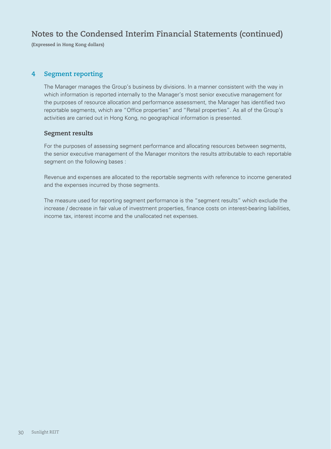# **Notes to the Condensed Interim Financial Statements (continued)**

**(Expressed in Hong Kong dollars)**

#### **4 Segment reporting**

The Manager manages the Group's business by divisions. In a manner consistent with the way in which information is reported internally to the Manager's most senior executive management for the purposes of resource allocation and performance assessment, the Manager has identified two reportable segments, which are "Office properties" and "Retail properties". As all of the Group's activities are carried out in Hong Kong, no geographical information is presented.

#### **Segment results**

For the purposes of assessing segment performance and allocating resources between segments, the senior executive management of the Manager monitors the results attributable to each reportable segment on the following bases :

Revenue and expenses are allocated to the reportable segments with reference to income generated and the expenses incurred by those segments.

The measure used for reporting segment performance is the "segment results" which exclude the increase / decrease in fair value of investment properties, finance costs on interest-bearing liabilities, income tax, interest income and the unallocated net expenses.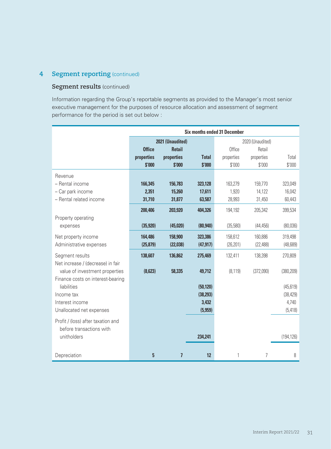## **4 Segment reporting** (continued)

### **Segment results** (continued)

Information regarding the Group's reportable segments as provided to the Manager's most senior executive management for the purposes of resource allocation and assessment of segment performance for the period is set out below :

| <b>Six months ended 31 December</b>                            |               |                  |              |            |                  |            |
|----------------------------------------------------------------|---------------|------------------|--------------|------------|------------------|------------|
|                                                                |               | 2021 (Unaudited) |              |            | 2020 (Unaudited) |            |
|                                                                | <b>Office</b> | <b>Retail</b>    |              | Office     | Retail           |            |
|                                                                | properties    | properties       | <b>Total</b> | properties | properties       | Total      |
|                                                                | \$'000        | \$'000           | \$'000       | \$'000     | \$'000           | \$'000     |
| Revenue                                                        |               |                  |              |            |                  |            |
| - Rental income                                                | 166,345       | 156,783          | 323,128      | 163,279    | 159,770          | 323,049    |
| - Car park income                                              | 2,351         | 15,260           | 17,611       | 1,920      | 14,122           | 16,042     |
| - Rental related income                                        | 31,710        | 31,877           | 63,587       | 28,993     | 31,450           | 60,443     |
|                                                                | 200,406       | 203,920          | 404,326      | 194,192    | 205,342          | 399,534    |
| Property operating                                             |               |                  |              |            |                  |            |
| expenses                                                       | (35, 920)     | (45, 020)        | (80, 940)    | (35,580)   | (44, 456)        | (80,036)   |
| Net property income                                            | 164,486       | 158,900          | 323,386      | 158,612    | 160,886          | 319,498    |
| Administrative expenses                                        | (25, 879)     | (22, 038)        | (47, 917)    | (26, 201)  | (22, 488)        | (48, 689)  |
| Segment results                                                | 138,607       | 136,862          | 275,469      | 132,411    | 138,398          | 270,809    |
| Net increase / (decrease) in fair                              |               |                  |              |            |                  |            |
| value of investment properties                                 | (8,623)       | 58,335           | 49,712       | (8, 119)   | (372,090)        | (380, 209) |
| Finance costs on interest-bearing                              |               |                  |              |            |                  |            |
| liabilities                                                    |               |                  | (50, 120)    |            |                  | (45, 619)  |
| Income tax                                                     |               |                  | (38, 293)    |            |                  | (38, 429)  |
| Interest income                                                |               |                  | 3,432        |            |                  | 4,740      |
| Unallocated net expenses                                       |               |                  | (5,959)      |            |                  | (5, 418)   |
| Profit / (loss) after taxation and<br>before transactions with |               |                  |              |            |                  |            |
| unitholders                                                    |               |                  | 234,241      |            |                  | (194, 126) |
|                                                                |               |                  |              |            |                  |            |
| Depreciation                                                   | 5             | $\overline{1}$   | 12           | 1          | $\overline{7}$   | 8          |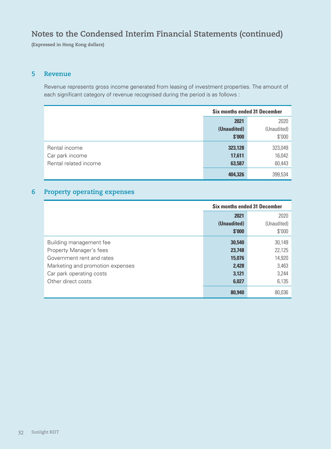# **Notes to the Condensed Interim Financial Statements (continued)**

**(Expressed in Hong Kong dollars)**

#### **5 Revenue**

Revenue represents gross income generated from leasing of investment properties. The amount of each significant category of revenue recognised during the period is as follows :

|                       | <b>Six months ended 31 December</b> |             |
|-----------------------|-------------------------------------|-------------|
|                       | 2021                                | 2020        |
|                       | (Unaudited)                         | (Unaudited) |
|                       | \$'000                              | \$'000      |
| Rental income         | 323,128                             | 323,049     |
| Car park income       | 17,611                              | 16,042      |
| Rental related income | 63,587                              | 60,443      |
|                       | 404,326                             | 399,534     |

# **6 Property operating expenses**

|                                  | <b>Six months ended 31 December</b> |             |
|----------------------------------|-------------------------------------|-------------|
|                                  | 2021                                | 2020        |
|                                  | (Unaudited)                         | (Unaudited) |
|                                  | \$'000                              | \$'000      |
| Building management fee          | 30,540                              | 30,149      |
| Property Manager's fees          | 23,748                              | 22,125      |
| Government rent and rates        | 15,076                              | 14,920      |
| Marketing and promotion expenses | 2,428                               | 3,463       |
| Car park operating costs         | 3.121                               | 3,244       |
| Other direct costs               | 6,027                               | 6,135       |
|                                  | 80,940                              | 80,036      |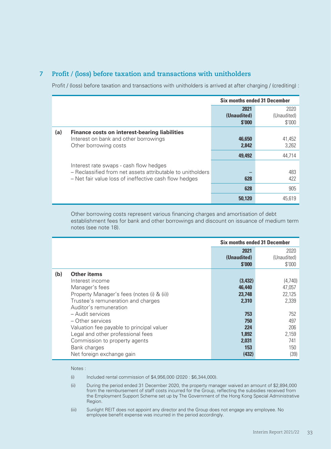## **7 Profit / (loss) before taxation and transactions with unitholders**

Profit / (loss) before taxation and transactions with unitholders is arrived at after charging / (crediting) :

|     |                                                                                                                                                               | <b>Six months ended 31 December</b> |                               |
|-----|---------------------------------------------------------------------------------------------------------------------------------------------------------------|-------------------------------------|-------------------------------|
|     |                                                                                                                                                               | 2021<br>(Unaudited)<br>\$'000       | 2020<br>(Unaudited)<br>\$'000 |
| (a) | <b>Finance costs on interest-bearing liabilities</b><br>Interest on bank and other borrowings<br>Other borrowing costs                                        | 46,650<br>2,842                     | 41,452<br>3,262               |
|     |                                                                                                                                                               | 49,492                              | 44,714                        |
|     | Interest rate swaps - cash flow hedges<br>- Reclassified from net assets attributable to unitholders<br>- Net fair value loss of ineffective cash flow hedges | 628                                 | 483<br>422                    |
|     |                                                                                                                                                               | 628                                 | 905                           |
|     |                                                                                                                                                               | 50,120                              | 45.619                        |

Other borrowing costs represent various financing charges and amortisation of debt establishment fees for bank and other borrowings and discount on issuance of medium term notes (see note 18).

|     |                                                                                                                                                                                                                                                                                                                                                                        | <b>Six months ended 31 December</b>                                                          |                                                                                          |
|-----|------------------------------------------------------------------------------------------------------------------------------------------------------------------------------------------------------------------------------------------------------------------------------------------------------------------------------------------------------------------------|----------------------------------------------------------------------------------------------|------------------------------------------------------------------------------------------|
|     |                                                                                                                                                                                                                                                                                                                                                                        | 2021<br>(Unaudited)<br>\$'000                                                                | 2020<br>(Unaudited)<br>\$'000                                                            |
| (b) | Other items<br>Interest income<br>Manager's fees<br>Property Manager's fees (notes (i) & (ii))<br>Trustee's remuneration and charges<br>Auditor's remuneration<br>- Audit services<br>- Other services<br>Valuation fee payable to principal valuer<br>Legal and other professional fees<br>Commission to property agents<br>Bank charges<br>Net foreign exchange gain | (3, 432)<br>46,440<br>23,748<br>2,310<br>753<br>750<br>224<br>1.892<br>2.031<br>153<br>(432) | (4,740)<br>47,057<br>22,125<br>2,339<br>752<br>497<br>206<br>2,159<br>741<br>150<br>(39) |

Notes :

- (i) Included rental commission of \$4,956,000 (2020 : \$6,344,000).
- (ii) During the period ended 31 December 2020, the property manager waived an amount of \$2,894,000 from the reimbursement of staff costs incurred for the Group, reflecting the subsidies received from the Employment Support Scheme set up by The Government of the Hong Kong Special Administrative Region.
- (iii) Sunlight REIT does not appoint any director and the Group does not engage any employee. No employee benefit expense was incurred in the period accordingly.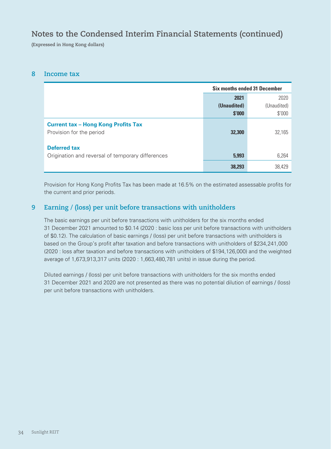# **Notes to the Condensed Interim Financial Statements (continued)**

**(Expressed in Hong Kong dollars)**

#### **8 Income tax**

|                                                                          | <b>Six months ended 31 December</b> |             |  |
|--------------------------------------------------------------------------|-------------------------------------|-------------|--|
|                                                                          | 2021                                | 2020        |  |
|                                                                          | (Unaudited)                         | (Unaudited) |  |
|                                                                          | \$'000                              | \$'000      |  |
| <b>Current tax - Hong Kong Profits Tax</b><br>Provision for the period   | 32,300                              | 32,165      |  |
| <b>Deferred tax</b><br>Origination and reversal of temporary differences | 5.993                               | 6,264       |  |
|                                                                          | 38,293                              | 38.429      |  |

Provision for Hong Kong Profits Tax has been made at 16.5% on the estimated assessable profits for the current and prior periods.

## **9 Earning / (loss) per unit before transactions with unitholders**

The basic earnings per unit before transactions with unitholders for the six months ended 31 December 2021 amounted to \$0.14 (2020 : basic loss per unit before transactions with unitholders of \$0.12). The calculation of basic earnings / (loss) per unit before transactions with unitholders is based on the Group's profit after taxation and before transactions with unitholders of \$234,241,000 (2020 : loss after taxation and before transactions with unitholders of \$194,126,000) and the weighted average of 1,673,913,317 units (2020 : 1,663,480,781 units) in issue during the period.

Diluted earnings / (loss) per unit before transactions with unitholders for the six months ended 31 December 2021 and 2020 are not presented as there was no potential dilution of earnings / (loss) per unit before transactions with unitholders.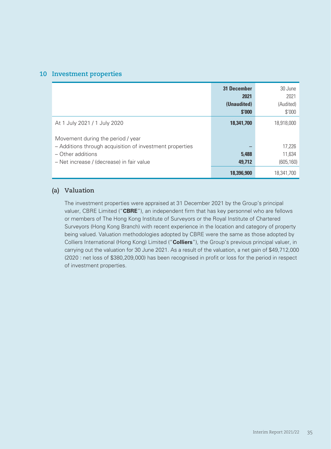#### **10 Investment properties**

|                                                                               | <b>31 December</b><br>2021<br>(Unaudited)<br>\$'000 | 30 June<br>2021<br>(Audited)<br>\$'000 |
|-------------------------------------------------------------------------------|-----------------------------------------------------|----------------------------------------|
| At 1 July 2021 / 1 July 2020<br>Movement during the period / year             | 18,341,700                                          | 18,918,000                             |
| - Additions through acquisition of investment properties<br>- Other additions | 5,488                                               | 17,226<br>11,634                       |
| - Net increase / (decrease) in fair value                                     | 49.712                                              | (605, 160)                             |
|                                                                               | 18,396,900                                          | 18.341.700                             |

#### **(a) Valuation**

The investment properties were appraised at 31 December 2021 by the Group's principal valuer, CBRE Limited ("**CBRE**"), an independent firm that has key personnel who are fellows or members of The Hong Kong Institute of Surveyors or the Royal Institute of Chartered Surveyors (Hong Kong Branch) with recent experience in the location and category of property being valued. Valuation methodologies adopted by CBRE were the same as those adopted by Colliers International (Hong Kong) Limited ("**Colliers**"), the Group's previous principal valuer, in carrying out the valuation for 30 June 2021. As a result of the valuation, a net gain of \$49,712,000 (2020 : net loss of \$380,209,000) has been recognised in profit or loss for the period in respect of investment properties.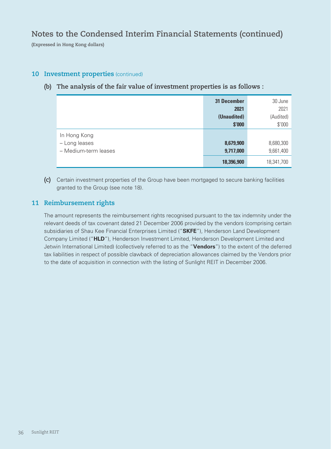**(Expressed in Hong Kong dollars)**

### **10 Investment properties** (continued)

### **(b) The analysis of the fair value of investment properties is as follows :**

|                      | <b>31 December</b> | 30 June    |
|----------------------|--------------------|------------|
|                      | 2021               | 2021       |
|                      | (Unaudited)        | (Audited)  |
|                      | \$'000             | \$'000     |
| In Hong Kong         |                    |            |
| - Long leases        | 8,679,900          | 8,680,300  |
| - Medium-term leases | 9,717,000          | 9,661,400  |
|                      | 18,396,900         | 18,341,700 |

**(c)** Certain investment properties of the Group have been mortgaged to secure banking facilities granted to the Group (see note 18).

### **11 Reimbursement rights**

The amount represents the reimbursement rights recognised pursuant to the tax indemnity under the relevant deeds of tax covenant dated 21 December 2006 provided by the vendors (comprising certain subsidiaries of Shau Kee Financial Enterprises Limited ("**SKFE**"), Henderson Land Development Company Limited ("**HLD**"), Henderson Investment Limited, Henderson Development Limited and Jetwin International Limited) (collectively referred to as the "**Vendors**") to the extent of the deferred tax liabilities in respect of possible clawback of depreciation allowances claimed by the Vendors prior to the date of acquisition in connection with the listing of Sunlight REIT in December 2006.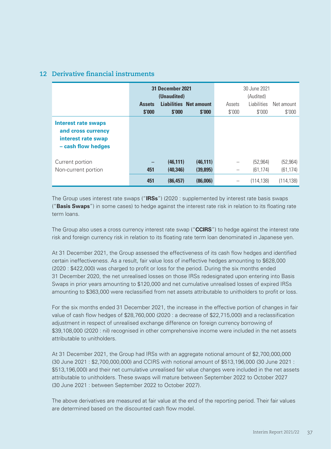|                                                                                       |               | 31 December 2021<br>(Unaudited) |                               |        | 30 June 2021<br>(Audited) |            |
|---------------------------------------------------------------------------------------|---------------|---------------------------------|-------------------------------|--------|---------------------------|------------|
|                                                                                       | <b>Assets</b> |                                 | <b>Liabilities Net amount</b> | Assets | <b>Liabilities</b>        | Net amount |
|                                                                                       | \$'000        | \$'000                          | \$'000                        | \$'000 | \$'000                    | \$'000     |
| Interest rate swaps<br>and cross currency<br>interest rate swap<br>- cash flow hedges |               |                                 |                               |        |                           |            |
| Current portion                                                                       |               | (46, 111)                       | (46, 111)                     |        | (52.964)                  | (52, 964)  |
| Non-current portion                                                                   | 451           | (40, 346)                       | (39, 895)                     |        | (61, 174)                 | (61, 174)  |
|                                                                                       | 451           | (86.457)                        | (86,006)                      |        | (114.138)                 | (114, 138) |

## **12 Derivative financial instruments**

The Group uses interest rate swaps ("**IRSs**") (2020 : supplemented by interest rate basis swaps ("**Basis Swaps**") in some cases) to hedge against the interest rate risk in relation to its floating rate term loans.

The Group also uses a cross currency interest rate swap ("**CCIRS**") to hedge against the interest rate risk and foreign currency risk in relation to its floating rate term loan denominated in Japanese yen.

At 31 December 2021, the Group assessed the effectiveness of its cash flow hedges and identified certain ineffectiveness. As a result, fair value loss of ineffective hedges amounting to \$628,000 (2020 : \$422,000) was charged to profit or loss for the period. During the six months ended 31 December 2020, the net unrealised losses on those IRSs redesignated upon entering into Basis Swaps in prior years amounting to \$120,000 and net cumulative unrealised losses of expired IRSs amounting to \$363,000 were reclassified from net assets attributable to unitholders to profit or loss.

For the six months ended 31 December 2021, the increase in the effective portion of changes in fair value of cash flow hedges of \$28,760,000 (2020 : a decrease of \$22,715,000) and a reclassification adjustment in respect of unrealised exchange difference on foreign currency borrowing of \$39,108,000 (2020 : nil) recognised in other comprehensive income were included in the net assets attributable to unitholders.

At 31 December 2021, the Group had IRSs with an aggregate notional amount of \$2,700,000,000 (30 June 2021 : \$2,700,000,000) and CCIRS with notional amount of \$513,196,000 (30 June 2021 : \$513,196,000) and their net cumulative unrealised fair value changes were included in the net assets attributable to unitholders. These swaps will mature between September 2022 to October 2027 (30 June 2021 : between September 2022 to October 2027).

The above derivatives are measured at fair value at the end of the reporting period. Their fair values are determined based on the discounted cash flow model.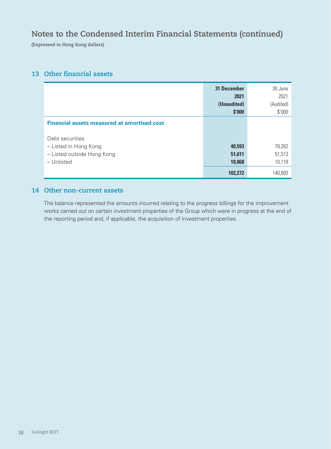# **Notes to the Condensed Interim Financial Statements (continued)**

**(Expressed in Hong Kong dollars)**

## **13 Other financial assets**

|                                                    | <b>31 December</b> | 30 June   |
|----------------------------------------------------|--------------------|-----------|
|                                                    | 2021               | 2021      |
|                                                    | (Unaudited)        | (Audited) |
|                                                    | \$'000             | \$'000    |
| <b>Financial assets measured at amortised cost</b> |                    |           |
| Debt securities                                    |                    |           |
| - Listed in Hong Kong                              | 40,593             | 79,262    |
| - Listed outside Hong Kong                         | 51,611             | 51,513    |
| - Unlisted                                         | 10,068             | 10,118    |
|                                                    | 102,272            | 140,893   |

#### **14 Other non-current assets**

The balance represented the amounts incurred relating to the progress billings for the improvement works carried out on certain investment properties of the Group which were in progress at the end of the reporting period and, if applicable, the acquisition of investment properties.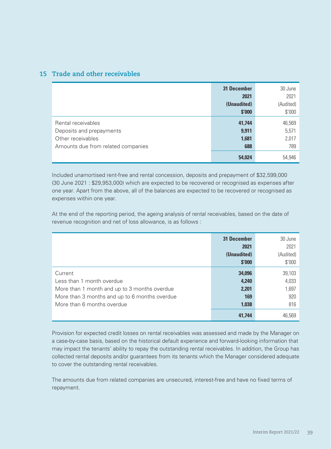### **15 Trade and other receivables**

|                                    | <b>31 December</b> | 30 June   |
|------------------------------------|--------------------|-----------|
|                                    | 2021               | 2021      |
|                                    | (Unaudited)        | (Audited) |
|                                    | \$'000             | \$'000    |
| Rental receivables                 | 41,744             | 46,569    |
| Deposits and prepayments           | 9,911              | 5,571     |
| Other receivables                  | 1,681              | 2,017     |
| Amounts due from related companies | 688                | 789       |
|                                    | 54,024             | 54,946    |

Included unamortised rent-free and rental concession, deposits and prepayment of \$32,599,000 (30 June 2021 : \$29,953,000) which are expected to be recovered or recognised as expenses after one year. Apart from the above, all of the balances are expected to be recovered or recognised as expenses within one year.

At the end of the reporting period, the ageing analysis of rental receivables, based on the date of revenue recognition and net of loss allowance, is as follows :

|                                               | <b>31 December</b> | 30 June   |
|-----------------------------------------------|--------------------|-----------|
|                                               | 2021               | 2021      |
|                                               | (Unaudited)        | (Audited) |
|                                               | \$'000             | \$'000    |
| Current                                       | 34,096             | 39,103    |
| Less than 1 month overdue                     | 4,240              | 4,033     |
| More than 1 month and up to 3 months overdue  | 2,201              | 1,697     |
| More than 3 months and up to 6 months overdue | 169                | 920       |
| More than 6 months overdue                    | 1,038              | 816       |
|                                               | 41,744             | 46,569    |

Provision for expected credit losses on rental receivables was assessed and made by the Manager on a case-by-case basis, based on the historical default experience and forward-looking information that may impact the tenants' ability to repay the outstanding rental receivables. In addition, the Group has collected rental deposits and/or guarantees from its tenants which the Manager considered adequate to cover the outstanding rental receivables.

The amounts due from related companies are unsecured, interest-free and have no fixed terms of repayment.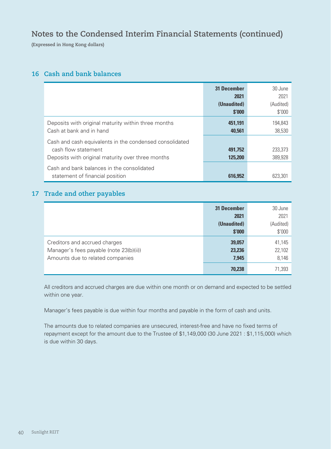# **Notes to the Condensed Interim Financial Statements (continued)**

**(Expressed in Hong Kong dollars)**

### **16 Cash and bank balances**

|                                                                                                                                     | <b>31 December</b><br>2021<br>(Unaudited)<br>\$'000 | 30 June<br>2021<br>(Audited)<br>\$'000 |
|-------------------------------------------------------------------------------------------------------------------------------------|-----------------------------------------------------|----------------------------------------|
| Deposits with original maturity within three months<br>Cash at bank and in hand                                                     | 451.191<br>40,561                                   | 194.843<br>38.530                      |
| Cash and cash equivalents in the condensed consolidated<br>cash flow statement<br>Deposits with original maturity over three months | 491.752<br>125,200                                  | 233.373<br>389,928                     |
| Cash and bank balances in the consolidated<br>statement of financial position                                                       | 616,952                                             | 623.301                                |

### **17 Trade and other payables**

|                                         | <b>31 December</b> | 30 June   |
|-----------------------------------------|--------------------|-----------|
|                                         | 2021               | 2021      |
|                                         | (Unaudited)        | (Audited) |
|                                         | \$'000             | \$'000    |
| Creditors and accrued charges           | 39,057             | 41,145    |
| Manager's fees payable (note 23(b)(ii)) | 23,236             | 22,102    |
| Amounts due to related companies        | 7,945              | 8,146     |
|                                         | 70,238             | 71,393    |

All creditors and accrued charges are due within one month or on demand and expected to be settled within one year.

Manager's fees payable is due within four months and payable in the form of cash and units.

The amounts due to related companies are unsecured, interest-free and have no fixed terms of repayment except for the amount due to the Trustee of \$1,149,000 (30 June 2021 : \$1,115,000) which is due within 30 days.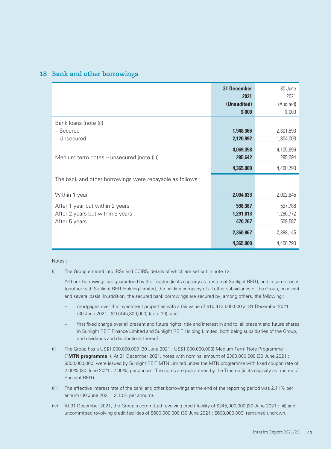#### **18 Bank and other borrowings**

|                                                                                      | <b>31 December</b><br>2021<br>(Unaudited)<br>\$'000 | 30 June<br>2021<br>(Audited)<br>\$'000 |
|--------------------------------------------------------------------------------------|-----------------------------------------------------|----------------------------------------|
| Bank loans (note (i))<br>- Secured<br>- Unsecured                                    | 1,948,366<br>2,120,992                              | 2,301,693<br>1,804,003                 |
| Medium term notes – unsecured (note (ii))                                            | 4,069,358<br>295,642<br>4,365,000                   | 4,105,696<br>295,094<br>4,400,790      |
| The bank and other borrowings were repayable as follows:                             |                                                     |                                        |
| Within 1 year                                                                        | 2,004,033                                           | 2,002,645                              |
| After 1 year but within 2 years<br>After 2 years but within 5 years<br>After 5 years | 598,387<br>1,291,813<br>470,767                     | 597,786<br>1,290,772<br>509,587        |
|                                                                                      | 2,360,967                                           | 2,398,145                              |
|                                                                                      | 4,365,000                                           | 4,400,790                              |

Notes :

(i) The Group entered into IRSs and CCIRS, details of which are set out in note 12.

All bank borrowings are guaranteed by the Trustee (in its capacity as trustee of Sunlight REIT), and in some cases together with Sunlight REIT Holding Limited, the holding company of all other subsidiaries of the Group, on a joint and several basis. In addition, the secured bank borrowings are secured by, among others, the following :

- mortgages over the investment properties with a fair value of \$10,413,500,000 at 31 December 2021 (30 June 2021 : \$10,445,300,000) (note 10); and
- first fixed charge over all present and future rights, title and interest in and to, all present and future shares in Sunlight REIT Finance Limited and Sunlight REIT Holding Limited, both being subsidiaries of the Group, and dividends and distributions thereof.
- (ii) The Group has a US\$1,000,000,000 (30 June 2021 : US\$1,000,000,000) Medium Term Note Programme ("**MTN programme**"). At 31 December 2021, notes with nominal amount of \$300,000,000 (30 June 2021 : \$300,000,000) were issued by Sunlight REIT MTN Limited under the MTN programme with fixed coupon rate of 2.00% (30 June 2021 : 2.00%) per annum. The notes are guaranteed by the Trustee (in its capacity as trustee of Sunlight REIT).
- (iii) The effective interest rate of the bank and other borrowings at the end of the reporting period was 2.11% per annum (30 June 2021 : 2.10% per annum).
- (iv) At 31 December 2021, the Group's committed revolving credit facility of \$245,000,000 (30 June 2021 : nil) and uncommitted revolving credit facilities of \$600,000,000 (30 June 2021 : \$600,000,000) remained undrawn.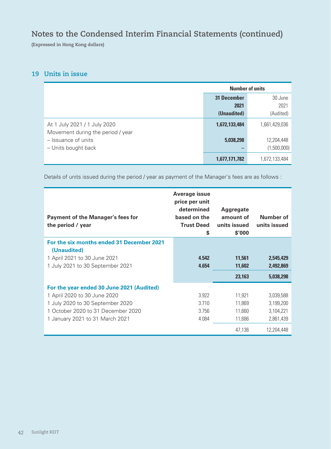# **Notes to the Condensed Interim Financial Statements (continued)**

**(Expressed in Hong Kong dollars)**

### **19 Units in issue**

|                                                                   | <b>Number of units</b> |               |
|-------------------------------------------------------------------|------------------------|---------------|
|                                                                   | <b>31 December</b>     | 30 June       |
|                                                                   | 2021                   | 2021          |
|                                                                   | (Unaudited)            | (Audited)     |
| At 1 July 2021 / 1 July 2020<br>Movement during the period / year | 1,672,133,484          | 1,661,429,036 |
| - Issuance of units                                               | 5,038,298              | 12,204,448    |
| - Units bought back                                               |                        | (1,500,000)   |
|                                                                   | 1,677,171,782          | 1,672,133,484 |

Details of units issued during the period / year as payment of the Manager's fees are as follows :

| <b>Payment of the Manager's fees for</b><br>the period / year | <b>Average issue</b><br>price per unit<br>determined<br>based on the<br><b>Trust Deed</b><br>S | Aggregate<br>amount of<br>units issued<br>\$′000 | <b>Number of</b><br>units issued |
|---------------------------------------------------------------|------------------------------------------------------------------------------------------------|--------------------------------------------------|----------------------------------|
| For the six months ended 31 December 2021                     |                                                                                                |                                                  |                                  |
| (Unaudited)<br>1 April 2021 to 30 June 2021                   | 4.542                                                                                          | 11,561                                           | 2,545,429                        |
| 1 July 2021 to 30 September 2021                              | 4.654                                                                                          | 11,602                                           | 2,492,869                        |
|                                                               |                                                                                                |                                                  |                                  |
|                                                               |                                                                                                | 23,163                                           | 5,038,298                        |
| For the year ended 30 June 2021 (Audited)                     |                                                                                                |                                                  |                                  |
| 1 April 2020 to 30 June 2020                                  | 3.922                                                                                          | 11,921                                           | 3,039,588                        |
| 1 July 2020 to 30 September 2020                              | 3.710                                                                                          | 11,869                                           | 3,199,200                        |
| 1 October 2020 to 31 December 2020                            | 3.756                                                                                          | 11,660                                           | 3,104,221                        |
| 1 January 2021 to 31 March 2021                               | 4.084                                                                                          | 11,686                                           | 2,861,439                        |
|                                                               |                                                                                                | 47.136                                           | 12.204.448                       |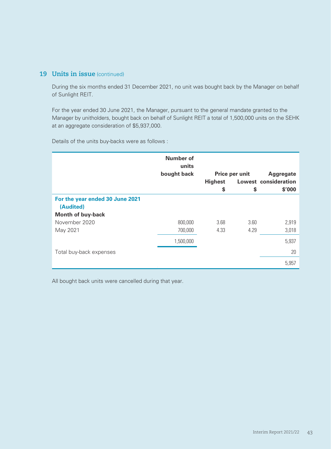### **19 Units in issue** (continued)

During the six months ended 31 December 2021, no unit was bought back by the Manager on behalf of Sunlight REIT.

For the year ended 30 June 2021, the Manager, pursuant to the general mandate granted to the Manager by unitholders, bought back on behalf of Sunlight REIT a total of 1,500,000 units on the SEHK at an aggregate consideration of \$5,937,000.

Details of the units buy-backs were as follows :

|                                              | <b>Number of</b><br>units |                |                |                             |
|----------------------------------------------|---------------------------|----------------|----------------|-----------------------------|
|                                              | bought back               |                | Price per unit | <b>Aggregate</b>            |
|                                              |                           | <b>Highest</b> |                | <b>Lowest consideration</b> |
|                                              |                           | \$             | \$             | \$'000                      |
| For the year ended 30 June 2021<br>(Audited) |                           |                |                |                             |
| <b>Month of buy-back</b>                     |                           |                |                |                             |
| November 2020                                | 800,000                   | 3.68           | 3.60           | 2,919                       |
| May 2021                                     | 700,000                   | 4.33           | 4.29           | 3,018                       |
|                                              | 1,500,000                 |                |                | 5,937                       |
| Total buy-back expenses                      |                           |                |                | 20                          |
|                                              |                           |                |                | 5,957                       |

All bought back units were cancelled during that year.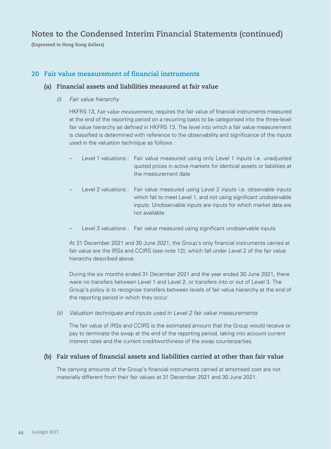# **Notes to the Condensed Interim Financial Statements (continued)**

**(Expressed in Hong Kong dollars)**

#### **20 Fair value measurement of financial instruments**

#### **(a) Financial assets and liabilities measured at fair value**

*(i) Fair value hierarchy*

HKFRS 13, *Fair value measurement*, requires the fair value of financial instruments measured at the end of the reporting period on a recurring basis to be categorised into the three-level fair value hierarchy as defined in HKFRS 13. The level into which a fair value measurement is classified is determined with reference to the observability and significance of the inputs used in the valuation technique as follows :

- Level 1 valuations : Fair value measured using only Level 1 inputs i.e. unadjusted quoted prices in active markets for identical assets or liabilities at the measurement date
- Level 2 valuations : Fair value measured using Level 2 inputs i.e. observable inputs which fail to meet Level 1, and not using significant unobservable inputs. Unobservable inputs are inputs for which market data are not available
- Level 3 valuations : Fair value measured using significant unobservable inputs

At 31 December 2021 and 30 June 2021, the Group's only financial instruments carried at fair value are the IRSs and CCIRS (see note 12), which fall under Level 2 of the fair value hierarchy described above.

During the six months ended 31 December 2021 and the year ended 30 June 2021, there were no transfers between Level 1 and Level 2, or transfers into or out of Level 3. The Group's policy is to recognise transfers between levels of fair value hierarchy at the end of the reporting period in which they occur.

*(ii) Valuation techniques and inputs used in Level 2 fair value measurements*

The fair value of IRSs and CCIRS is the estimated amount that the Group would receive or pay to terminate the swap at the end of the reporting period, taking into account current interest rates and the current creditworthiness of the swap counterparties.

#### **(b) Fair values of financial assets and liabilities carried at other than fair value**

The carrying amounts of the Group's financial instruments carried at amortised cost are not materially different from their fair values at 31 December 2021 and 30 June 2021.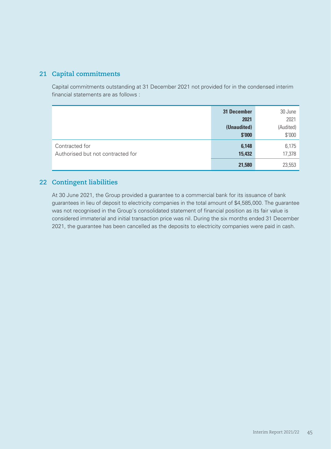### **21 Capital commitments**

Capital commitments outstanding at 31 December 2021 not provided for in the condensed interim financial statements are as follows :

|                                   | <b>31 December</b> | 30 June   |
|-----------------------------------|--------------------|-----------|
|                                   | 2021               | 2021      |
|                                   | (Unaudited)        | (Audited) |
|                                   | \$'000             | \$'000    |
| Contracted for                    | 6,148              | 6,175     |
| Authorised but not contracted for | 15,432             | 17,378    |
|                                   | 21,580             | 23,553    |

## **22 Contingent liabilities**

At 30 June 2021, the Group provided a guarantee to a commercial bank for its issuance of bank guarantees in lieu of deposit to electricity companies in the total amount of \$4,585,000. The guarantee was not recognised in the Group's consolidated statement of financial position as its fair value is considered immaterial and initial transaction price was nil. During the six months ended 31 December 2021, the guarantee has been cancelled as the deposits to electricity companies were paid in cash.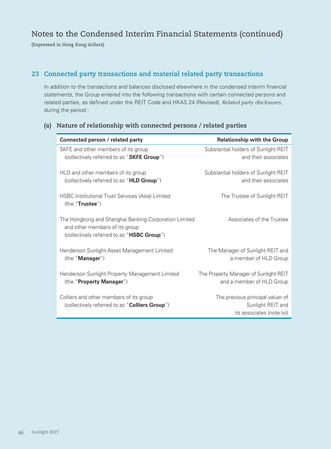# **Notes to the Condensed Interim Financial Statements (continued)**

**(Expressed in Hong Kong dollars)**

### **23 Connected party transactions and material related party transactions**

In addition to the transactions and balances disclosed elsewhere in the condensed interim financial statements, the Group entered into the following transactions with certain connected persons and related parties, as defined under the REIT Code and HKAS 24 (Revised), *Related party disclosures*, during the period :

| Connected person / related party                                                                                                      | <b>Relationship with the Group</b>                                 |
|---------------------------------------------------------------------------------------------------------------------------------------|--------------------------------------------------------------------|
| SKFE and other members of its group                                                                                                   | Substantial holders of Sunlight REIT                               |
| (collectively referred to as "SKFE Group")                                                                                            | and their associates                                               |
| HLD and other members of its group                                                                                                    | Substantial holders of Sunlight REIT                               |
| (collectively referred to as "HLD Group")                                                                                             | and their associates                                               |
| <b>HSBC Institutional Trust Services (Asia) Limited</b><br>(the "Trustee")                                                            | The Trustee of Sunlight REIT                                       |
| The Hongkong and Shanghai Banking Corporation Limited<br>and other members of its group<br>(collectively referred to as "HSBC Group") | Associates of the Trustee                                          |
| Henderson Sunlight Asset Management Limited<br>(the "Manager")                                                                        | The Manager of Sunlight REIT and<br>a member of HLD Group          |
| Henderson Sunlight Property Management Limited<br>(the "Property Manager")                                                            | The Property Manager of Sunlight REIT<br>and a member of HLD Group |
| Colliers and other members of its group                                                                                               | The previous principal valuer of                                   |
| (collectively referred to as "Colliers Group")                                                                                        | Sunlight REIT and                                                  |
|                                                                                                                                       | its associates (note (v))                                          |

### **(a) Nature of relationship with connected persons / related parties**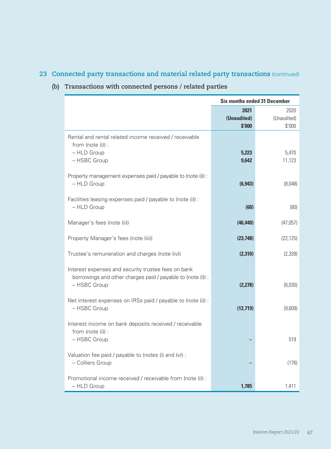# **23 Connected party transactions and material related party transactions** (continued)

# **(b) Transactions with connected persons / related parties**

|                                                                                                                                    | <b>Six months ended 31 December</b> |             |  |
|------------------------------------------------------------------------------------------------------------------------------------|-------------------------------------|-------------|--|
|                                                                                                                                    | 2021                                | 2020        |  |
|                                                                                                                                    | (Unaudited)                         | (Unaudited) |  |
|                                                                                                                                    | \$'000                              | \$'000      |  |
| Rental and rental related income received / receivable<br>from (note (i)) :                                                        |                                     |             |  |
| - HLD Group                                                                                                                        | 5,223                               | 5,470       |  |
| - HSBC Group                                                                                                                       | 9,642                               | 11,123      |  |
| Property management expenses paid / payable to (note (i)) :<br>- HLD Group                                                         | (6, 943)                            | (8,048)     |  |
| Facilities leasing expenses paid / payable to (note (i)) :<br>- HLD Group                                                          | (60)                                | (60)        |  |
| Manager's fees (note (ii))                                                                                                         | (46, 440)                           | (47,057)    |  |
| Property Manager's fees (note (iii))                                                                                               | (23, 748)                           | (22, 125)   |  |
| Trustee's remuneration and charges (note (iv))                                                                                     | (2,310)                             | (2, 339)    |  |
| Interest expenses and security trustee fees on bank<br>borrowings and other charges paid / payable to (note (i)) :<br>- HSBC Group | (2,278)                             | (6,030)     |  |
| Net interest expenses on IRSs paid / payable to (note (i)) :<br>- HSBC Group                                                       | (12, 719)                           | (9,609)     |  |
| Interest income on bank deposits received / receivable<br>from (note (i)) :<br>- HSBC Group                                        |                                     | 519         |  |
|                                                                                                                                    |                                     |             |  |
| Valuation fee paid / payable to (notes (i) and (v)) :<br>- Colliers Group                                                          |                                     | (176)       |  |
| Promotional income received / receivable from (note (i)) :<br>- HLD Group                                                          | 1,785                               | 1,411       |  |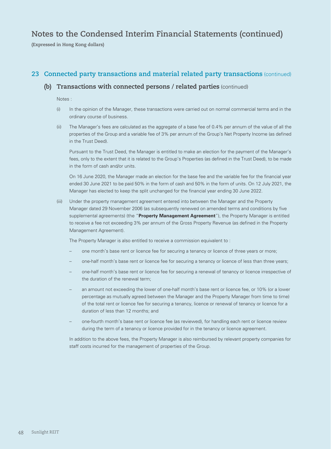# **Notes to the Condensed Interim Financial Statements (continued)**

**(Expressed in Hong Kong dollars)**

### **23 Connected party transactions and material related party transactions** (continued)

#### **(b) Transactions with connected persons / related parties** (continued)

Notes :

- (i) In the opinion of the Manager, these transactions were carried out on normal commercial terms and in the ordinary course of business.
- (ii) The Manager's fees are calculated as the aggregate of a base fee of 0.4% per annum of the value of all the properties of the Group and a variable fee of 3% per annum of the Group's Net Property Income (as defined in the Trust Deed).

Pursuant to the Trust Deed, the Manager is entitled to make an election for the payment of the Manager's fees, only to the extent that it is related to the Group's Properties (as defined in the Trust Deed), to be made in the form of cash and/or units.

On 16 June 2020, the Manager made an election for the base fee and the variable fee for the financial year ended 30 June 2021 to be paid 50% in the form of cash and 50% in the form of units. On 12 July 2021, the Manager has elected to keep the split unchanged for the financial year ending 30 June 2022.

(iii) Under the property management agreement entered into between the Manager and the Property Manager dated 29 November 2006 (as subsequently renewed on amended terms and conditions by five supplemental agreements) (the "**Property Management Agreement**"), the Property Manager is entitled to receive a fee not exceeding 3% per annum of the Gross Property Revenue (as defined in the Property Management Agreement).

The Property Manager is also entitled to receive a commission equivalent to :

- one month's base rent or licence fee for securing a tenancy or licence of three years or more;
- one-half month's base rent or licence fee for securing a tenancy or licence of less than three years;
- one-half month's base rent or licence fee for securing a renewal of tenancy or licence irrespective of the duration of the renewal term;
- an amount not exceeding the lower of one-half month's base rent or licence fee, or 10% (or a lower percentage as mutually agreed between the Manager and the Property Manager from time to time) of the total rent or licence fee for securing a tenancy, licence or renewal of tenancy or licence for a duration of less than 12 months; and
- one-fourth month's base rent or licence fee (as reviewed), for handling each rent or licence review during the term of a tenancy or licence provided for in the tenancy or licence agreement.

In addition to the above fees, the Property Manager is also reimbursed by relevant property companies for staff costs incurred for the management of properties of the Group.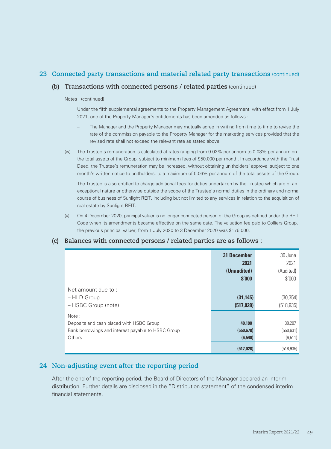### **23 Connected party transactions and material related party transactions** (continued)

### **(b) Transactions with connected persons / related parties** (continued)

#### Notes : (continued)

Under the fifth supplemental agreements to the Property Management Agreement, with effect from 1 July 2021, one of the Property Manager's entitlements has been amended as follows :

- The Manager and the Property Manager may mutually agree in writing from time to time to revise the rate of the commission payable to the Property Manager for the marketing services provided that the revised rate shall not exceed the relevant rate as stated above.
- (iv) The Trustee's remuneration is calculated at rates ranging from 0.02% per annum to 0.03% per annum on the total assets of the Group, subject to minimum fees of \$50,000 per month. In accordance with the Trust Deed, the Trustee's remuneration may be increased, without obtaining unitholders' approval subject to one month's written notice to unitholders, to a maximum of 0.06% per annum of the total assets of the Group.

The Trustee is also entitled to charge additional fees for duties undertaken by the Trustee which are of an exceptional nature or otherwise outside the scope of the Trustee's normal duties in the ordinary and normal course of business of Sunlight REIT, including but not limited to any services in relation to the acquisition of real estate by Sunlight REIT.

(v) On 4 December 2020, principal valuer is no longer connected person of the Group as defined under the REIT Code when its amendments became effective on the same date. The valuation fee paid to Colliers Group, the previous principal valuer, from 1 July 2020 to 3 December 2020 was \$176,000.

#### **(c) Balances with connected persons / related parties are as follows :**

|                                                                                                                          | <b>31 December</b><br>2021<br>(Unaudited)<br>\$'000 | 30 June<br>2021<br>(Audited)<br>\$'000 |
|--------------------------------------------------------------------------------------------------------------------------|-----------------------------------------------------|----------------------------------------|
| Net amount due to:<br>- HLD Group<br>- HSBC Group (note)                                                                 | (31, 145)<br>(517, 028)                             | (30, 354)<br>(518, 935)                |
| Note:<br>Deposits and cash placed with HSBC Group<br>Bank borrowings and interest payable to HSBC Group<br><b>Others</b> | 40,190<br>(550, 678)<br>(6,540)                     | 38,207<br>(550, 631)<br>(6, 511)       |
|                                                                                                                          | (517, 028)                                          | (518, 935)                             |

### **24 Non-adjusting event after the reporting period**

After the end of the reporting period, the Board of Directors of the Manager declared an interim distribution. Further details are disclosed in the "Distribution statement" of the condensed interim financial statements.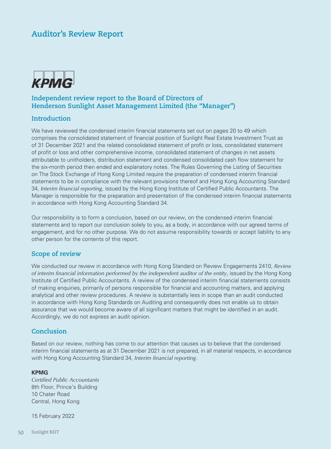# **Auditor's Review Report**



### **Independent review report to the Board of Directors of Henderson Sunlight Asset Management Limited (the "Manager")**

#### **Introduction**

We have reviewed the condensed interim financial statements set out on pages 20 to 49 which comprises the consolidated statement of financial position of Sunlight Real Estate Investment Trust as of 31 December 2021 and the related consolidated statement of profit or loss, consolidated statement of profit or loss and other comprehensive income, consolidated statement of changes in net assets attributable to unitholders, distribution statement and condensed consolidated cash flow statement for the six-month period then ended and explanatory notes. The Rules Governing the Listing of Securities on The Stock Exchange of Hong Kong Limited require the preparation of condensed interim financial statements to be in compliance with the relevant provisions thereof and Hong Kong Accounting Standard 34, *Interim financial reporting*, issued by the Hong Kong Institute of Certified Public Accountants. The Manager is responsible for the preparation and presentation of the condensed interim financial statements in accordance with Hong Kong Accounting Standard 34.

Our responsibility is to form a conclusion, based on our review, on the condensed interim financial statements and to report our conclusion solely to you, as a body, in accordance with our agreed terms of engagement, and for no other purpose. We do not assume responsibility towards or accept liability to any other person for the contents of this report.

#### **Scope of review**

We conducted our review in accordance with Hong Kong Standard on Review Engagements 2410, *Review of interim financial information performed by the independent auditor of the entity*, issued by the Hong Kong Institute of Certified Public Accountants. A review of the condensed interim financial statements consists of making enquiries, primarily of persons responsible for financial and accounting matters, and applying analytical and other review procedures. A review is substantially less in scope than an audit conducted in accordance with Hong Kong Standards on Auditing and consequently does not enable us to obtain assurance that we would become aware of all significant matters that might be identified in an audit. Accordingly, we do not express an audit opinion.

### **Conclusion**

Based on our review, nothing has come to our attention that causes us to believe that the condensed interim financial statements as at 31 December 2021 is not prepared, in all material respects, in accordance with Hong Kong Accounting Standard 34, *Interim financial reporting*.

#### **KPMG**

*Certified Public Accountants* 8th Floor, Prince's Building 10 Chater Road Central, Hong Kong

15 February 2022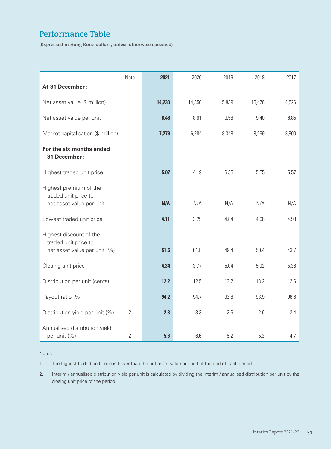# **Performance Table**

**(Expressed in Hong Kong dollars, unless otherwise specified)**

|                                                 | Note           | 2021   | 2020   | 2019   | 2018   | 2017   |
|-------------------------------------------------|----------------|--------|--------|--------|--------|--------|
| At 31 December:                                 |                |        |        |        |        |        |
| Net asset value (\$ million)                    |                | 14,230 | 14,350 | 15,839 | 15,476 | 14,526 |
| Net asset value per unit                        |                | 8.48   | 8.61   | 9.56   | 9.40   | 8.85   |
| Market capitalisation (\$ million)              |                | 7,279  | 6,284  | 8,348  | 8,269  | 8,800  |
| For the six months ended<br>31 December :       |                |        |        |        |        |        |
| Highest traded unit price                       |                | 5.07   | 4.19   | 6.35   | 5.55   | 5.57   |
| Highest premium of the<br>traded unit price to  |                |        |        |        |        |        |
| net asset value per unit                        | 1              | N/A    | N/A    | N/A    | N/A    | N/A    |
| Lowest traded unit price                        |                | 4.11   | 3.29   | 4.84   | 4.66   | 4.98   |
| Highest discount of the<br>traded unit price to |                |        |        |        |        |        |
| net asset value per unit (%)                    |                | 51.5   | 61.8   | 49.4   | 50.4   | 43.7   |
| Closing unit price                              |                | 4.34   | 3.77   | 5.04   | 5.02   | 5.36   |
| Distribution per unit (cents)                   |                | 12.2   | 12.5   | 13.2   | 13.2   | 12.6   |
| Payout ratio (%)                                |                | 94.2   | 94.7   | 93.6   | 93.9   | 96.6   |
| Distribution yield per unit (%)                 | $\overline{2}$ | 2.8    | 3.3    | 2.6    | 2.6    | 2.4    |
| Annualised distribution yield<br>per unit (%)   | $\mathbf{2}$   | 5.6    | 6.6    | 5.2    | 5.3    | 4.7    |

#### Notes :

1. The highest traded unit price is lower than the net asset value per unit at the end of each period.

2. Interim / annualised distribution yield per unit is calculated by dividing the interim / annualised distribution per unit by the closing unit price of the period.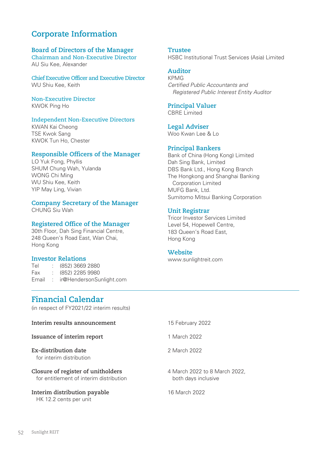# **Corporate Information**

#### **Board of Directors of the Manager**

**Chairman and Non-Executive Director** AU Siu Kee, Alexander

**Chief Executive Officer and Executive Director** WU Shiu Kee, Keith

**Non-Executive Director** KWOK Ping Ho

#### **Independent Non-Executive Directors**

KWAN Kai Cheong TSE Kwok Sang KWOK Tun Ho, Chester

#### **Responsible Officers of the Manager**

LO Yuk Fong, Phyllis SHUM Chung Wah, Yulanda WONG Chi Ming WU Shiu Kee, Keith YIP May Ling, Vivian

#### **Company Secretary of the Manager**

CHUNG Siu Wah

#### **Registered Office of the Manager**

30th Floor, Dah Sing Financial Centre, 248 Queen's Road East, Wan Chai, Hong Kong

#### **Investor Relations**

Tel : (852) 3669 2880 Fax : (852) 2285 9980 Email : ir@HendersonSunlight.com **Trustee** HSBC Institutional Trust Services (Asia) Limited

#### **Auditor**

KPMG *Certified Public Accountants and Registered Public Interest Entity Auditor*

## **Principal Valuer**

CBRE Limited

**Legal Adviser** Woo Kwan Lee & Lo

#### **Principal Bankers**

Bank of China (Hong Kong) Limited Dah Sing Bank, Limited DBS Bank Ltd., Hong Kong Branch The Hongkong and Shanghai Banking Corporation Limited MUFG Bank, Ltd. Sumitomo Mitsui Banking Corporation

#### **Unit Registrar**

Tricor Investor Services Limited Level 54, Hopewell Centre, 183 Queen's Road East, Hong Kong

#### **Website**

www.sunlightreit.com

## **Financial Calendar**

(in respect of FY2021/22 interim results)

| Interim results announcement                                                  | 15 February 2022                                     |
|-------------------------------------------------------------------------------|------------------------------------------------------|
| Issuance of interim report                                                    | 1 March 2022                                         |
| Ex-distribution date<br>for interim distribution                              | 2 March 2022                                         |
| Closure of register of unitholders<br>for entitlement of interim distribution | 4 March 2022 to 8 March 2022,<br>both days inclusive |
| Interim distribution payable<br>HK 12.2 cents per unit                        | 16 March 2022                                        |